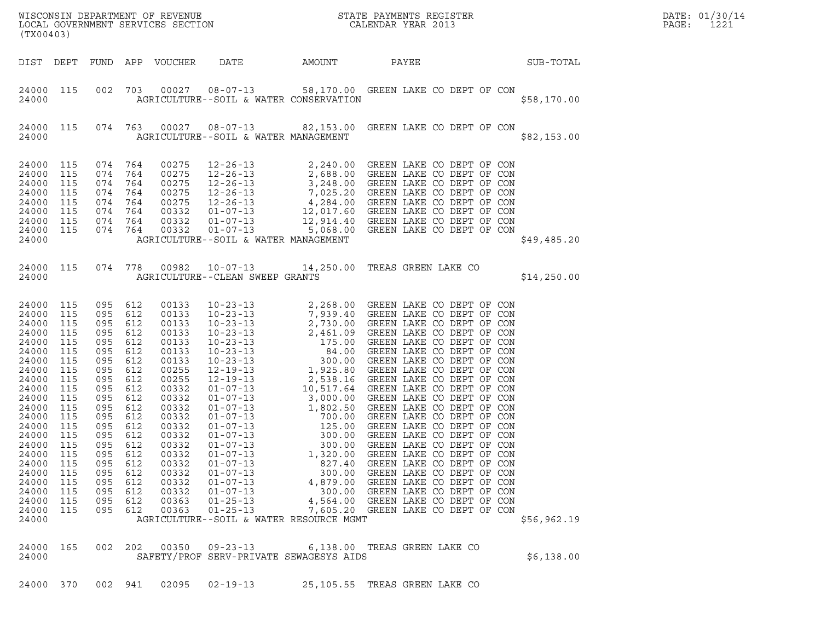| 25,105.55 TREAS GREEN LAKE CO<br>24000 370 002 941 02095 02-19-13 |  |  |  |  |  |  |
|-------------------------------------------------------------------|--|--|--|--|--|--|
|-------------------------------------------------------------------|--|--|--|--|--|--|

| 24000          |     |     |     |       |          | AGRICULTURE--SOIL & WATER RESOURCE MGMT |  |  | \$56,962.19 |  |
|----------------|-----|-----|-----|-------|----------|-----------------------------------------|--|--|-------------|--|
| 24000<br>24000 | 165 | 002 | 202 | 00350 |          | SAFETY/PROF SERV-PRIVATE SEWAGESYS AIDS |  |  | \$6,138.00  |  |
| 24000          | 370 | 002 | 941 | 02095 | 02-19-13 | 25,105.55 TREAS GREEN LAKE CO           |  |  |             |  |

| 24000<br>24000 | 115<br>115 | 074<br>074 | 764<br>764 | 00275<br>00275 | $12 - 26 - 13$<br>$12 - 26 - 13$        | 7,025.20                                             | GREEN LAKE CO DEPT OF CON                                                                                                          |
|----------------|------------|------------|------------|----------------|-----------------------------------------|------------------------------------------------------|------------------------------------------------------------------------------------------------------------------------------------|
| 24000          |            | 074        | 764        |                |                                         |                                                      | 4,284.00 GREEN LAKE CO DEPT OF CON                                                                                                 |
| 24000          | 115        | 074        |            | 00332<br>00332 | $01 - 07 - 13$                          |                                                      | 12,017.60 GREEN LAKE CO DEPT OF CON                                                                                                |
| 24000          | 115<br>115 | 074        | 764<br>764 | 00332          |                                         |                                                      | 01-07-13 12,914.40 GREEN LAKE CO DEPT OF CON<br>01-07-13 5,068.00 GREEN LAKE CO DEPT OF CON<br>12,914.40 GREEN LAKE CO DEPT OF CON |
| 24000          |            |            |            |                |                                         |                                                      | \$49,485.20                                                                                                                        |
|                |            |            |            |                | AGRICULTURE--SOIL & WATER MANAGEMENT    |                                                      |                                                                                                                                    |
|                |            |            |            |                |                                         |                                                      |                                                                                                                                    |
| 24000          | 115        | 074        |            |                |                                         |                                                      | 778  00982  10-07-13  14,250.00  TREAS GREEN LAKE CO                                                                               |
| 24000          |            |            |            |                | AGRICULTURE--CLEAN SWEEP GRANTS         |                                                      | \$14,250.00                                                                                                                        |
|                |            |            |            |                |                                         |                                                      |                                                                                                                                    |
| 24000          | 115        | 095        | 612        | 00133          |                                         | $10-23-13$<br>$10-23-13$<br>$7,939.40$<br>$7,939.40$ | 2,268.00 GREEN LAKE CO DEPT OF CON                                                                                                 |
| 24000          | 115        | 095        | 612        | 00133          |                                         |                                                      | GREEN LAKE CO DEPT OF CON                                                                                                          |
| 24000          | 115        | 095        | 612        | 00133          | $10 - 23 - 13$                          | 2,730.00                                             | GREEN LAKE CO DEPT OF CON                                                                                                          |
| 24000          | 115        | 095        | 612        | 00133          |                                         |                                                      |                                                                                                                                    |
| 24000          | 115        | 095        | 612        | 00133          |                                         |                                                      |                                                                                                                                    |
| 24000          | 115        | 095        | 612        | 00133          |                                         |                                                      |                                                                                                                                    |
| 24000          | 115        | 095        | 612        | 00133          |                                         |                                                      |                                                                                                                                    |
| 24000          | 115        | 095        | 612        | 00255          |                                         |                                                      |                                                                                                                                    |
| 24000          | 115        | 095        | 612        | 00255          |                                         |                                                      |                                                                                                                                    |
| 24000          | 115        | 095        | 612        | 00332          |                                         |                                                      |                                                                                                                                    |
| 24000          | 115        | 095        | 612        | 00332          |                                         |                                                      |                                                                                                                                    |
| 24000          | 115        | 095        | 612        | 00332          |                                         |                                                      |                                                                                                                                    |
| 24000          | 115        | 095        | 612        | 00332          |                                         |                                                      |                                                                                                                                    |
| 24000          | 115        | 095        | 612        | 00332          |                                         |                                                      |                                                                                                                                    |
| 24000          | 115        | 095        | 612        | 00332          |                                         |                                                      |                                                                                                                                    |
| 24000          | 115        | 095        | 612        | 00332          |                                         |                                                      |                                                                                                                                    |
| 24000          | 115        | 095        | 612        | 00332          |                                         |                                                      |                                                                                                                                    |
| 24000          | 115        | 095        | 612        | 00332          |                                         |                                                      |                                                                                                                                    |
| 24000          | 115        | 095        | 612        | 00332          |                                         |                                                      |                                                                                                                                    |
| 24000          | 115        | 095        | 612        | 00332          |                                         |                                                      |                                                                                                                                    |
| 24000          | 115        | 095        | 612        | 00332          |                                         |                                                      |                                                                                                                                    |
| 24000          | 115        | 095        | 612        | 00363          |                                         |                                                      |                                                                                                                                    |
| 24000          | 115        | 095        | 612        | 00363          | $01 - 25 - 13$                          |                                                      | 7,605.20 GREEN LAKE CO DEPT OF CON                                                                                                 |
| 24000          |            |            |            |                | AGRICULTURE--SOIL & WATER RESOURCE MGMT |                                                      | \$56,962.19                                                                                                                        |
|                |            |            |            |                |                                         |                                                      |                                                                                                                                    |

| 24000<br>82,153.00 GREEN LAKE CO DEPT OF CON<br>074<br>00027<br>08-07-13<br>115<br>763<br>24000<br>\$82,153.00<br>AGRICULTURE--SOIL & WATER MANAGEMENT<br>24000<br>074<br>00275<br>12-26-13<br>GREEN LAKE CO DEPT OF CON<br>115<br>2,240.00<br>764<br>24000<br>115<br>2,688.00 GREEN LAKE CO DEPT OF CON<br>074 764<br>00275<br>12-26-13<br>24000<br>115<br>3,248.00<br>GREEN LAKE CO DEPT OF CON<br>074<br>00275<br>764<br>12-26-13<br>24000<br>115<br>074<br>00275<br>12-26-13<br>7,025.20 GREEN LAKE CO DEPT OF CON<br>764<br>24000<br>115<br>074<br>00275<br>4,284.00 GREEN LAKE CO DEPT OF CON<br>764<br>12-26-13<br>24000<br>115<br>00332<br>12,017.60 GREEN LAKE CO DEPT OF CON<br>074<br>764<br>01-07-13 | 24000 |  |  | AGRICULTURE--SOIL & WATER CONSERVATION |  | \$58,170.00 |
|------------------------------------------------------------------------------------------------------------------------------------------------------------------------------------------------------------------------------------------------------------------------------------------------------------------------------------------------------------------------------------------------------------------------------------------------------------------------------------------------------------------------------------------------------------------------------------------------------------------------------------------------------------------------------------------------------------------|-------|--|--|----------------------------------------|--|-------------|
|                                                                                                                                                                                                                                                                                                                                                                                                                                                                                                                                                                                                                                                                                                                  |       |  |  |                                        |  |             |
|                                                                                                                                                                                                                                                                                                                                                                                                                                                                                                                                                                                                                                                                                                                  |       |  |  |                                        |  |             |

## 24000 115 002 703 00027 08-07-13 58,170.00 GREEN LAKE CO DEPT OF CON 24000 115 002 703 00027 08-07-13 58,170.00 GREEN LAKE CODEPT OF CON<br>24000 AGRICULTURE--SOIL & WATER CONSERVATION

DIST DEPT FUND APP VOUCHER DATE AMOUNT PAYEE SUB-TOTAL

LOCAL GOVERNMENT SERVICES SECTION CALENDAR YEAR 2013 PAGE: 1221 (TX00403)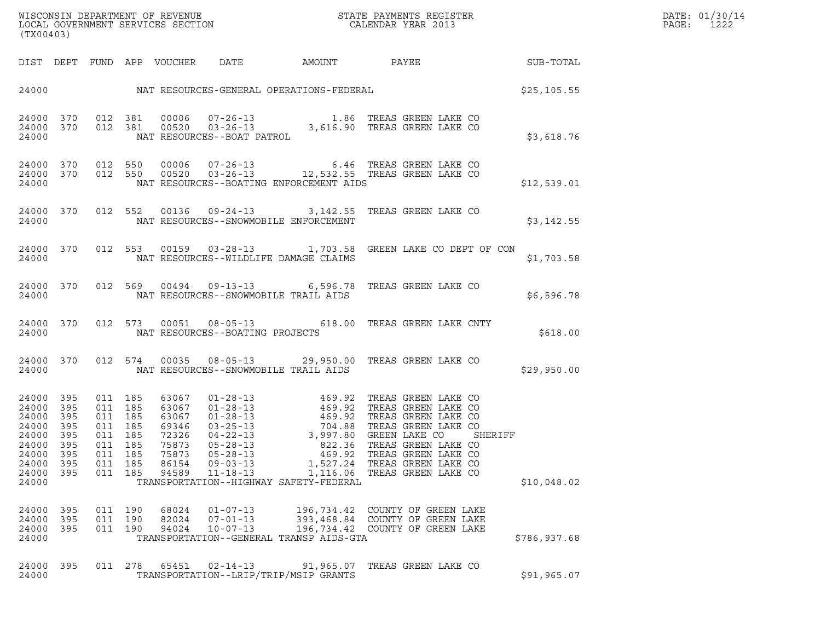| WISCONSIN DEPARTMENT OF REVENUE<br>LOCAL GOVERNMENT SERVICES SECTION<br>(TX00403) | STATE PAYMENTS REGISTER<br>CALENDAR YEAR 2013 | DATE: 01/30/14<br>PAGE:<br>1222 |
|-----------------------------------------------------------------------------------|-----------------------------------------------|---------------------------------|

| (TX00403)                                                                              |                                                             |                                                             |                                                             |                                                                               |                                                    |                                                                                   |                                                                                                                                                                                                                                                                                                                                                                                                   |                        |
|----------------------------------------------------------------------------------------|-------------------------------------------------------------|-------------------------------------------------------------|-------------------------------------------------------------|-------------------------------------------------------------------------------|----------------------------------------------------|-----------------------------------------------------------------------------------|---------------------------------------------------------------------------------------------------------------------------------------------------------------------------------------------------------------------------------------------------------------------------------------------------------------------------------------------------------------------------------------------------|------------------------|
| DIST                                                                                   | DEPT                                                        |                                                             |                                                             | FUND APP VOUCHER DATE                                                         |                                                    |                                                                                   |                                                                                                                                                                                                                                                                                                                                                                                                   | AMOUNT PAYEE SUB-TOTAL |
| 24000                                                                                  |                                                             |                                                             |                                                             |                                                                               |                                                    | NAT RESOURCES-GENERAL OPERATIONS-FEDERAL                                          |                                                                                                                                                                                                                                                                                                                                                                                                   | \$25,105.55            |
| 24000<br>24000<br>24000                                                                | 370<br>370                                                  | 012 381<br>012                                              | 381                                                         | 00006<br>00520                                                                | NAT RESOURCES--BOAT PATROL                         | $07 - 26 - 13$<br>03-26-13<br>3,616.90<br>3.752                                   | TREAS GREEN LAKE CO<br>TREAS GREEN LAKE CO                                                                                                                                                                                                                                                                                                                                                        | \$3,618.76             |
| 24000<br>24000<br>24000                                                                | 370<br>370                                                  | 012<br>012                                                  | 550<br>550                                                  |                                                                               |                                                    | NAT RESOURCES--BOATING ENFORCEMENT AIDS                                           | $\begin{array}{cccc} 00006 & 07\texttt{-}26\texttt{-}13 & 6.46 & \texttt{TREAS GREEN LAKE CO} \\ 00520 & 03\texttt{-}26\texttt{-}13 & 12,532.55 & \texttt{TREAS GREEN LAKE CO} \end{array}$                                                                                                                                                                                                       | \$12,539.01            |
| 24000<br>24000                                                                         | 370                                                         | 012                                                         | 552                                                         |                                                                               |                                                    | NAT RESOURCES--SNOWMOBILE ENFORCEMENT                                             | 00136  09-24-13  3,142.55  TREAS GREEN LAKE CO                                                                                                                                                                                                                                                                                                                                                    | \$3,142.55             |
| 24000<br>24000                                                                         | 370                                                         | 012                                                         | 553                                                         |                                                                               |                                                    | NAT RESOURCES--WILDLIFE DAMAGE CLAIMS                                             | 00159  03-28-13  1,703.58  GREEN LAKE CO DEPT OF CON                                                                                                                                                                                                                                                                                                                                              | \$1,703.58             |
| 24000<br>24000                                                                         | 370                                                         | 012                                                         | 569                                                         |                                                                               |                                                    | 00494 09-13-13 6,596.78<br>NAT RESOURCES--SNOWMOBILE TRAIL AIDS                   | TREAS GREEN LAKE CO                                                                                                                                                                                                                                                                                                                                                                               | \$6,596.78             |
| 24000<br>24000                                                                         | 370                                                         | 012                                                         | 573                                                         |                                                                               | NAT RESOURCES--BOATING PROJECTS                    |                                                                                   | 00051  08-05-13  618.00  TREAS GREEN LAKE CNTY                                                                                                                                                                                                                                                                                                                                                    | \$618.00               |
| 24000<br>24000                                                                         | 370                                                         | 012                                                         | 574                                                         |                                                                               |                                                    | NAT RESOURCES--SNOWMOBILE TRAIL AIDS                                              | 00035 08-05-13 29,950.00 TREAS GREEN LAKE CO                                                                                                                                                                                                                                                                                                                                                      | \$29,950.00            |
| 24000<br>24000<br>24000<br>24000<br>24000<br>24000<br>24000<br>24000<br>24000<br>24000 | 395<br>395<br>395<br>395<br>395<br>395<br>395<br>395<br>395 | 011<br>011<br>011<br>011<br>011<br>011<br>011<br>011<br>011 | 185<br>185<br>185<br>185<br>185<br>185<br>185<br>185<br>185 | 63067<br>63067<br>63067<br>69346<br>72326<br>75873<br>75873<br>86154<br>94589 | $05 - 28 - 13$<br>$09 - 03 - 13$<br>$11 - 18 - 13$ | TRANSPORTATION--HIGHWAY SAFETY-FEDERAL                                            | $\begin{tabular}{lllllllllllllllllllllll} 01-28-13 & 469.92 & \text{TREAS GREEN LAKE CO} \\ 01-28-13 & 469.92 & \text{TREAS GREEN LAKE CO} \\ 01-28-13 & 469.92 & \text{TREAS GREEN LAKE CO} \\ 03-25-13 & 704.88 & \text{TREAS GREEN LAKE CO} \\ 04-22-13 & 3,997.80 & \text{GREEN LAKE CO} \\ 05-28-13 & 822.36 & \text{TREAS GREEN LAKE CO} \\ 09-03-13 & 469$<br>1,116.06 TREAS GREEN LAKE CO | SHERIFF<br>\$10,048.02 |
| 24000<br>24000<br>24000<br>24000                                                       | 395<br>395<br>395                                           | 011<br>011<br>011                                           | 190<br>190<br>190                                           | 68024<br>82024<br>94024                                                       | $01 - 07 - 13$<br>$07 - 01 - 13$<br>$10 - 07 - 13$ | 196,734.42<br>393,468.84<br>196,734.42<br>TRANSPORTATION--GENERAL TRANSP AIDS-GTA | COUNTY OF GREEN LAKE<br>COUNTY OF GREEN LAKE<br>COUNTY OF GREEN LAKE                                                                                                                                                                                                                                                                                                                              | \$786,937.68           |
| 24000<br>24000                                                                         | 395                                                         | 011                                                         | 278                                                         | 65451                                                                         | $02 - 14 - 13$                                     | 91,965.07<br>TRANSPORTATION--LRIP/TRIP/MSIP GRANTS                                | TREAS GREEN LAKE CO                                                                                                                                                                                                                                                                                                                                                                               | \$91,965.07            |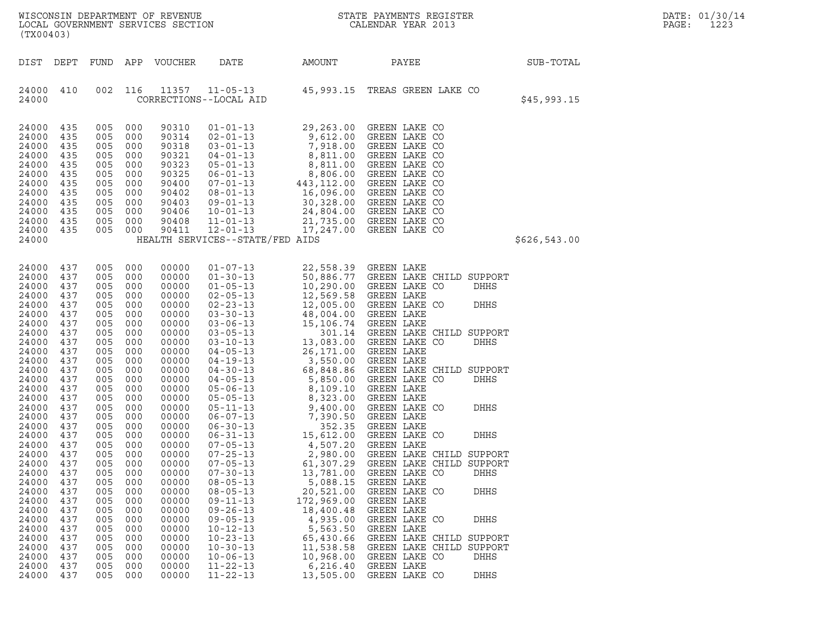| LOCAL GOVERNMENT SERVICES SECTION<br>(TX00403)                                                                                                                                                                                                                                                                                                                                                                                                                                                                                                               |                                                                                                                                                                                                                                            |                                                                                                                                                                                                                                            |                                                                                                                                                                                                                                                                                                                |                                                                                                                                                                                                                                                                                                                                                                                                                                                                                                                                                                                                                                                   |                                                                                                                                                                                                                                                                                                              | ${\tt WISCONSIN} \begin{tabular}{lcccc} DEPARTMENT & OF & REVENUE \\ \hline \texttt{LOCAL} & GOVERNMENT & SERVICES & SECTION \\ \end{tabular} \begin{tabular}{lcccc} \multicolumn{1}{c}{\textbf{NISTER}} & \multicolumn{1}{c}{\textbf{NISTER}} \\ \multicolumn{1}{c}{\textbf{CALENDAR} \begin{tabular}{lcccc} \multicolumn{1}{c}{\textbf{NISTER}} \\ \multicolumn{1}{c}{\textbf{NISTER}} \\ \multicolumn{1}{c}{\textbf{NISTER}} \\ \multicolumn{1}{c}{\textbf{NISTER}} \\ \multicolumn{1}{c}{\textbf{NISTER}} \\ \$                                                                                                                                                                                                                                             |              | DATE: 01/30/14<br>PAGE:<br>1223 |
|--------------------------------------------------------------------------------------------------------------------------------------------------------------------------------------------------------------------------------------------------------------------------------------------------------------------------------------------------------------------------------------------------------------------------------------------------------------------------------------------------------------------------------------------------------------|--------------------------------------------------------------------------------------------------------------------------------------------------------------------------------------------------------------------------------------------|--------------------------------------------------------------------------------------------------------------------------------------------------------------------------------------------------------------------------------------------|----------------------------------------------------------------------------------------------------------------------------------------------------------------------------------------------------------------------------------------------------------------------------------------------------------------|---------------------------------------------------------------------------------------------------------------------------------------------------------------------------------------------------------------------------------------------------------------------------------------------------------------------------------------------------------------------------------------------------------------------------------------------------------------------------------------------------------------------------------------------------------------------------------------------------------------------------------------------------|--------------------------------------------------------------------------------------------------------------------------------------------------------------------------------------------------------------------------------------------------------------------------------------------------------------|-----------------------------------------------------------------------------------------------------------------------------------------------------------------------------------------------------------------------------------------------------------------------------------------------------------------------------------------------------------------------------------------------------------------------------------------------------------------------------------------------------------------------------------------------------------------------------------------------------------------------------------------------------------------------------------------------------------------------------------------------------------------|--------------|---------------------------------|
| DIST DEPT                                                                                                                                                                                                                                                                                                                                                                                                                                                                                                                                                    |                                                                                                                                                                                                                                            |                                                                                                                                                                                                                                            | FUND APP VOUCHER                                                                                                                                                                                                                                                                                               | DATE                                                                                                                                                                                                                                                                                                                                                                                                                                                                                                                                                                                                                                              | AMOUNT                                                                                                                                                                                                                                                                                                       | PAYEE                                                                                                                                                                                                                                                                                                                                                                                                                                                                                                                                                                                                                                                                                                                                                           | SUB-TOTAL    |                                 |
| 24000 410<br>24000                                                                                                                                                                                                                                                                                                                                                                                                                                                                                                                                           | 002                                                                                                                                                                                                                                        | 116                                                                                                                                                                                                                                        |                                                                                                                                                                                                                                                                                                                | CORRECTIONS--LOCAL AID                                                                                                                                                                                                                                                                                                                                                                                                                                                                                                                                                                                                                            |                                                                                                                                                                                                                                                                                                              | 11357  11-05-13  45,993.15  TREAS GREEN LAKE CO                                                                                                                                                                                                                                                                                                                                                                                                                                                                                                                                                                                                                                                                                                                 | \$45,993.15  |                                 |
| 24000<br>435<br>24000<br>435<br>24000<br>435<br>24000<br>435<br>24000<br>435<br>24000<br>435<br>24000<br>435<br>24000<br>435<br>24000<br>435<br>24000<br>435<br>24000<br>435<br>24000<br>435<br>24000                                                                                                                                                                                                                                                                                                                                                        | 005<br>005<br>005<br>005<br>005<br>005<br>005<br>005<br>005<br>005<br>005<br>005                                                                                                                                                           | 000<br>000<br>000<br>000<br>000<br>000<br>000<br>000<br>000<br>000<br>000<br>000                                                                                                                                                           | 90310<br>90314<br>90318<br>90321<br>90323<br>90325<br>90400<br>90402<br>90403<br>90406<br>90408<br>90411                                                                                                                                                                                                       | $01 - 01 - 13$<br>02-01-13<br>03-01-13<br>04-01-13<br>05-01-13<br>05-01-13<br>05-01-13<br>06-01-13<br>06-01-13<br>08-01-13<br>443,112.00<br>08-01-13<br>16,096.00<br>09-01-13<br>24,804.00<br>11-01-13<br>24,804.00<br>$11 - 01 - 13$<br>$12 - 01 - 13$<br>HEALTH SERVICES--STATE/FED AIDS                                                                                                                                                                                                                                                                                                                                                        | 21,735.00<br>17,247.00                                                                                                                                                                                                                                                                                       | 29,263.00 GREEN LAKE CO<br>GREEN LAKE CO<br>GREEN LAKE CO<br>GREEN LAKE CO<br>GREEN LAKE CO<br>GREEN LAKE CO<br>GREEN LAKE CO<br>GREEN LAKE CO<br>GREEN LAKE CO<br>GREEN LAKE CO<br>GREEN LAKE CO<br>GREEN LAKE CO                                                                                                                                                                                                                                                                                                                                                                                                                                                                                                                                              | \$626,543.00 |                                 |
| 24000<br>437<br>24000<br>437<br>24000<br>437<br>24000<br>437<br>24000<br>437<br>24000<br>437<br>24000<br>437<br>24000<br>437<br>24000<br>437<br>24000<br>437<br>24000<br>437<br>24000<br>437<br>24000<br>437<br>24000<br>437<br>24000<br>437<br>24000<br>437<br>24000<br>437<br>24000<br>437<br>24000<br>437<br>24000<br>437<br>24000<br>437<br>24000<br>437<br>24000<br>437<br>24000<br>437<br>24000<br>437<br>24000<br>437<br>24000<br>437<br>24000<br>437<br>24000<br>437<br>24000<br>437<br>24000<br>437<br>24000<br>437<br>24000<br>437<br>24000<br>437 | 005<br>005<br>005<br>005<br>005<br>005<br>005<br>005<br>005<br>005<br>005<br>005<br>005<br>005<br>005<br>005<br>005<br>005<br>005<br>005<br>005<br>005<br>005<br>005<br>005<br>005<br>005<br>005<br>005<br>005<br>005<br>005<br>005<br>005 | 000<br>000<br>000<br>000<br>000<br>000<br>000<br>000<br>000<br>000<br>000<br>000<br>000<br>000<br>000<br>000<br>000<br>000<br>000<br>000<br>000<br>000<br>000<br>000<br>000<br>000<br>000<br>000<br>000<br>000<br>000<br>000<br>000<br>000 | 00000<br>00000<br>00000<br>00000<br>00000<br>00000<br>00000<br>00000<br>00000<br>00000<br>00000<br>00000<br>00000<br>00000<br>00000<br>00000<br>00000<br>00000<br>00000<br>00000<br>00000<br>00000<br>00000<br>00000<br>00000<br>00000<br>00000<br>00000<br>00000<br>00000<br>00000<br>00000<br>00000<br>00000 | $01 - 07 - 13$<br>$01 - 30 - 13$<br>$01 - 05 - 13$<br>$02 - 05 - 13$<br>$02 - 23 - 13$<br>$03 - 30 - 13$<br>$03 - 06 - 13$<br>$03 - 05 - 13$<br>$03 - 10 - 13$<br>$04 - 05 - 13$<br>$04 - 19 - 13$<br>$04 - 30 - 13$<br>$04 - 05 - 13$<br>05-06-13<br>05-06-13<br>05-05-11<br>05-05-13<br>05-11-13<br>9,400.00<br>06-07-13<br>7,390.50<br>06-30-13<br>06-31-13<br>15,612.0<br>4,507.2<br>$07 - 25 - 13$<br>$07 - 05 - 13$<br>$07 - 30 - 13$<br>$08 - 05 - 13$<br>$08 - 05 - 13$<br>$09 - 11 - 13$<br>$09 - 26 - 13$<br>$09 - 05 - 13$<br>$10 - 12 - 13$<br>$10 - 23 - 13$<br>$10 - 30 - 13$<br>$10 - 06 - 13$<br>$11 - 22 - 13$<br>$11 - 22 - 13$ | 12,569.58<br>12,005.00<br>48,004.00<br>15,106.74<br>301.14<br>13,083.00<br>26,171.00<br>3,550.00<br>68,848.86<br>5,850.00<br>2,980.00<br>61,307.29<br>13,781.00<br>5,088.15<br>20,521.00<br>172,969.00<br>18,400.48<br>4,935.00<br>5,563.50<br>65,430.66<br>11,538.58<br>10,968.00<br>6, 216.40<br>13,505.00 | 22,558.39 GREEN LAKE<br>50,886.77 GREEN LAKE CHILD SUPPORT<br>10,290.00 GREEN LAKE CO<br>DHHS<br>GREEN LAKE<br>GREEN LAKE CO<br>DHHS<br>GREEN LAKE<br>GREEN LAKE<br>GREEN LAKE CHILD SUPPORT<br>GREEN LAKE CO<br>DHHS<br>GREEN LAKE<br>GREEN LAKE<br>GREEN LAKE CHILD SUPPORT<br>GREEN LAKE CO<br>DHHS<br>GREEN LAKE<br>GREEN LAKE<br><b>DHHS</b><br>GREEN LAKE CO<br>GREEN LAKE<br>GREEN LAKE<br>GREEN LAKE CO<br>DHHS<br>GREEN LAKE<br>GREEN LAKE CHILD SUPPORT<br>GREEN LAKE CHILD SUPPORT<br>GREEN LAKE CO<br>DHHS<br>GREEN LAKE<br>GREEN LAKE CO<br>DHHS<br>GREEN LAKE<br>GREEN LAKE<br>GREEN LAKE CO<br><b>DHHS</b><br>GREEN LAKE<br>GREEN LAKE CHILD SUPPORT<br>GREEN LAKE CHILD SUPPORT<br>GREEN LAKE CO<br>DHHS<br>GREEN LAKE<br>GREEN LAKE CO<br>DHHS |              |                                 |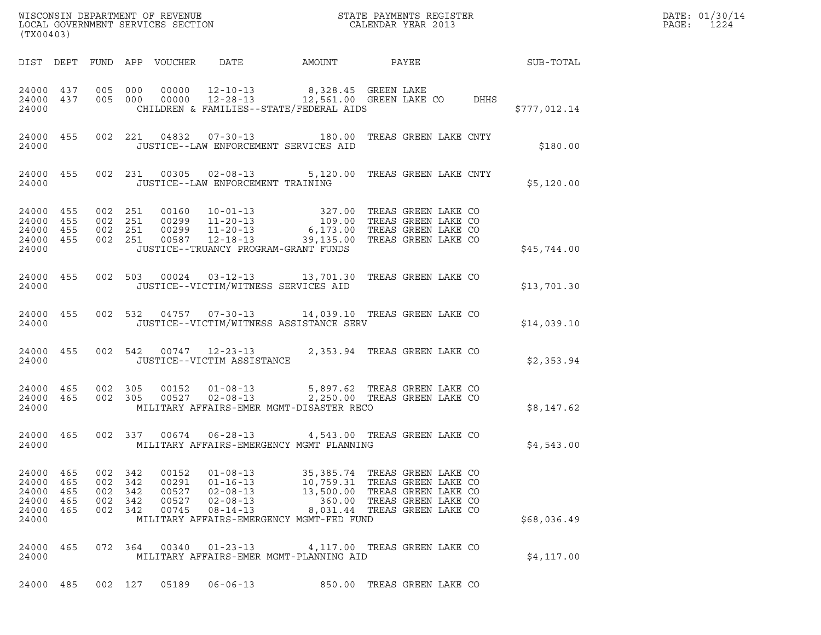| (TX00403)                                                              |                        |         |                                          |                                  |                                                                 |                                                                                                                                                                                                                                                                                                                                                                                 |                              |      |                 | DATE: 01/30/14<br>PAGE:<br>1224 |
|------------------------------------------------------------------------|------------------------|---------|------------------------------------------|----------------------------------|-----------------------------------------------------------------|---------------------------------------------------------------------------------------------------------------------------------------------------------------------------------------------------------------------------------------------------------------------------------------------------------------------------------------------------------------------------------|------------------------------|------|-----------------|---------------------------------|
|                                                                        |                        |         |                                          |                                  |                                                                 | DIST DEPT FUND APP VOUCHER DATE AMOUNT                                                                                                                                                                                                                                                                                                                                          |                              |      | PAYEE SUB-TOTAL |                                 |
| 24000 437<br>24000                                                     | 24000 437              |         |                                          |                                  |                                                                 | 005 000 00000 12-10-13 8,328.45 GREEN LAKE<br>005 000 00000 12-28-13 12,561.00 GREEN LAKE CO<br>CHILDREN & FAMILIES--STATE/FEDERAL AIDS                                                                                                                                                                                                                                         |                              | DHHS | \$777,012.14    |                                 |
|                                                                        | 24000 455<br>24000     |         |                                          |                                  |                                                                 | 002 221 04832 07-30-13 180.00 TREAS GREEN LAKE CNTY<br>JUSTICE--LAW ENFORCEMENT SERVICES AID                                                                                                                                                                                                                                                                                    |                              |      | \$180.00        |                                 |
|                                                                        | 24000 455              |         |                                          |                                  |                                                                 | 002 231 00305 02-08-13 5,120.00 TREAS GREEN LAKE CNTY<br>24000 JUSTICE--LAW ENFORCEMENT TRAINING                                                                                                                                                                                                                                                                                |                              |      | \$5,120.00      |                                 |
| 24000 455<br>24000 455<br>24000 455<br>24000 455<br>24000              |                        |         |                                          |                                  |                                                                 | $\begin{array}{cccccccc} 002 & 251 & 00160 & 10-01-13 & & 327.00 & \text{TREAS GREEN LAKE CO} \\ 002 & 251 & 00299 & 11-20-13 & & 109.00 & \text{TREAS GREEN LAKE CO} \\ 002 & 251 & 00299 & 11-20-13 & & 6,173.00 & \text{TREAS GREEN LAKE CO} \\ 002 & 251 & 00587 & 12-18-13 & & 39,135.00 & \text{TREAS GREEN LAKE CO} \end{array}$<br>JUSTICE--TRUANCY PROGRAM-GRANT FUNDS |                              |      | \$45,744.00     |                                 |
| 24000                                                                  | 24000 455              |         |                                          |                                  |                                                                 | 002 503 00024 03-12-13 13,701.30 TREAS GREEN LAKE CO<br>JUSTICE--VICTIM/WITNESS SERVICES AID                                                                                                                                                                                                                                                                                    |                              |      | \$13,701.30     |                                 |
| 24000                                                                  | 24000 455              |         |                                          |                                  |                                                                 | 002 532 04757 07-30-13 14,039.10 TREAS GREEN LAKE CO<br>JUSTICE--VICTIM/WITNESS ASSISTANCE SERV                                                                                                                                                                                                                                                                                 |                              |      | \$14,039.10     |                                 |
| 24000                                                                  | 24000 455              |         |                                          |                                  | JUSTICE--VICTIM ASSISTANCE                                      | 002 542 00747 12-23-13 2,353.94 TREAS GREEN LAKE CO                                                                                                                                                                                                                                                                                                                             |                              |      | \$2,353.94      |                                 |
| 24000 465<br>24000 465<br>24000                                        |                        |         |                                          |                                  |                                                                 | 002 305 00152 01-08-13 5,897.62 TREAS GREEN LAKE CO<br>002 305 00527 02-08-13 2,250.00 TREAS GREEN LAKE CO<br>MILITARY AFFAIRS-EMER MGMT-DISASTER RECO                                                                                                                                                                                                                          |                              |      | \$8,147.62      |                                 |
|                                                                        | 24000 465<br>24000 000 |         |                                          |                                  |                                                                 | 002 337 00674 06-28-13 4,543.00 TREAS GREEN LAKE CO<br>MILITARY AFFAIRS-EMERGENCY MGMT PLANNING                                                                                                                                                                                                                                                                                 |                              |      | \$4,543.00      |                                 |
| 24000 465<br>24000 465<br>24000 465<br>24000 465<br>24000 465<br>24000 |                        | 002 342 | 002 342<br>002 342<br>002 342<br>002 342 | 00152<br>00527<br>00527<br>00745 | 00291  01-16-13<br>$02 - 08 - 13$<br>$02 - 08 - 13$<br>08-14-13 | 01-08-13 35,385.74 TREAS GREEN LAKE CO 01-16-13 10,759.31 TREAS GREEN LAKE CO<br>13,500.00 TREAS GREEN LAKE CO<br>360.00 TREAS GREEN LAKE CO<br>MILITARY AFFAIRS-EMERGENCY MGMT-FED FUND                                                                                                                                                                                        | 8,031.44 TREAS GREEN LAKE CO |      | \$68,036.49     |                                 |
| 24000 465<br>24000                                                     |                        |         |                                          | 072 364 00340                    | $01 - 23 - 13$                                                  | 4,117.00 TREAS GREEN LAKE CO<br>MILITARY AFFAIRS-EMER MGMT-PLANNING AID                                                                                                                                                                                                                                                                                                         |                              |      | \$4, 117.00     |                                 |
|                                                                        |                        |         |                                          |                                  |                                                                 | 24000 485 002 127 05189 06-06-13 850.00 TREAS GREEN LAKE CO                                                                                                                                                                                                                                                                                                                     |                              |      |                 |                                 |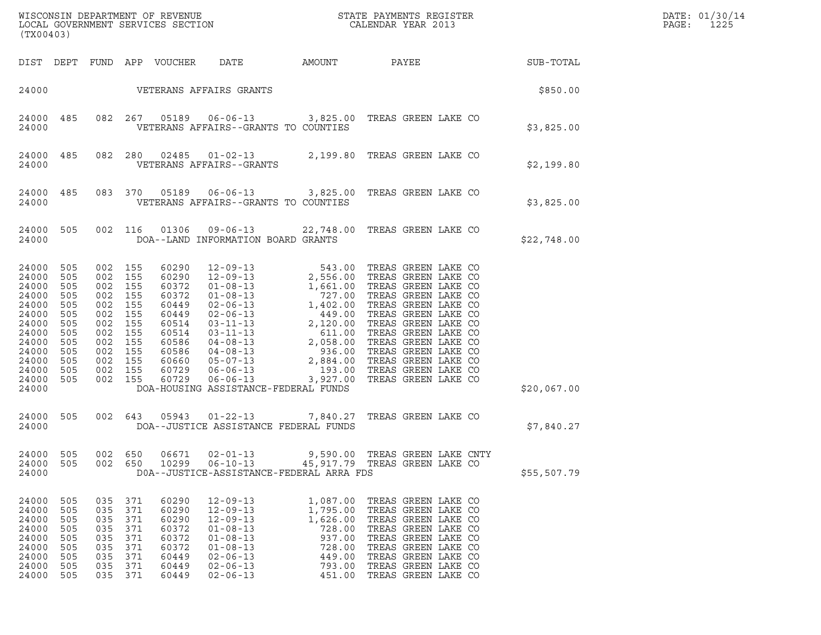| (TX00403)                                                                                                                      |                                                                                  |                                                                                                                                         |                                               |                                                                               |                                                                                                                                                                |                                                                                              |                                                                                                                                                                                                             |  |             | DATE: 01/30/14<br>PAGE:<br>1225 |
|--------------------------------------------------------------------------------------------------------------------------------|----------------------------------------------------------------------------------|-----------------------------------------------------------------------------------------------------------------------------------------|-----------------------------------------------|-------------------------------------------------------------------------------|----------------------------------------------------------------------------------------------------------------------------------------------------------------|----------------------------------------------------------------------------------------------|-------------------------------------------------------------------------------------------------------------------------------------------------------------------------------------------------------------|--|-------------|---------------------------------|
|                                                                                                                                |                                                                                  |                                                                                                                                         |                                               | DIST DEPT FUND APP VOUCHER                                                    | DATE                                                                                                                                                           | AMOUNT PAYEE SUB-TOTAL                                                                       |                                                                                                                                                                                                             |  |             |                                 |
|                                                                                                                                |                                                                                  |                                                                                                                                         |                                               |                                                                               | 24000 VETERANS AFFAIRS GRANTS                                                                                                                                  |                                                                                              |                                                                                                                                                                                                             |  | \$850.00    |                                 |
| 24000 485<br>24000                                                                                                             |                                                                                  |                                                                                                                                         |                                               |                                                                               | VETERANS AFFAIRS--GRANTS TO COUNTIES                                                                                                                           | 082  267  05189  06-06-13  3,825.00 TREAS GREEN LAKE CO                                      |                                                                                                                                                                                                             |  | \$3,825.00  |                                 |
| 24000 485<br>24000                                                                                                             |                                                                                  | 082 280                                                                                                                                 |                                               | 02485                                                                         | VETERANS AFFAIRS--GRANTS                                                                                                                                       | 01-02-13 2,199.80 TREAS GREEN LAKE CO                                                        |                                                                                                                                                                                                             |  | \$2,199.80  |                                 |
| 24000 485<br>24000                                                                                                             |                                                                                  | 083 370                                                                                                                                 |                                               |                                                                               | VETERANS AFFAIRS--GRANTS TO COUNTIES                                                                                                                           | 05189  06-06-13  3,825.00  TREAS GREEN LAKE CO                                               |                                                                                                                                                                                                             |  | \$3,825.00  |                                 |
| 24000 505<br>24000                                                                                                             |                                                                                  | 002 116                                                                                                                                 |                                               | 01306                                                                         | DOA--LAND INFORMATION BOARD GRANTS                                                                                                                             | 09-06-13 22,748.00 TREAS GREEN LAKE CO                                                       |                                                                                                                                                                                                             |  | \$22,748.00 |                                 |
| 24000<br>24000<br>24000<br>24000<br>24000<br>24000<br>24000<br>24000<br>24000<br>24000<br>24000<br>24000<br>24000 505<br>24000 | 505<br>505<br>505<br>505<br>505<br>505<br>505<br>505<br>505<br>505<br>505<br>505 | 002 155<br>002 155<br>002 155<br>002 155<br>002 155<br>002 155<br>002<br>002 155<br>002 155<br>002 155<br>002 155<br>002 155<br>002 155 | 155                                           |                                                                               | DOA-HOUSING ASSISTANCE-FEDERAL FUNDS                                                                                                                           |                                                                                              |                                                                                                                                                                                                             |  | \$20,067.00 |                                 |
| 24000<br>24000                                                                                                                 | 505                                                                              | 002 643                                                                                                                                 |                                               |                                                                               | DOA--JUSTICE ASSISTANCE FEDERAL FUNDS                                                                                                                          | 05943  01-22-13  7,840.27  TREAS GREEN LAKE CO                                               |                                                                                                                                                                                                             |  | \$7,840.27  |                                 |
| 24000<br>24000<br>24000                                                                                                        | 505<br>505                                                                       | 002<br>002                                                                                                                              | 650<br>650                                    | 06671<br>10299                                                                | $02 - 01 - 13$<br>$06 - 10 - 13$                                                                                                                               | DOA--JUSTICE-ASSISTANCE-FEDERAL ARRA FDS                                                     | 9,590.00 TREAS GREEN LAKE CNTY<br>45,917.79 TREAS GREEN LAKE CO                                                                                                                                             |  | \$55,507.79 |                                 |
| 24000<br>24000<br>24000<br>24000<br>24000<br>24000<br>24000<br>24000<br>24000                                                  | 505<br>505<br>505<br>505<br>505<br>505<br>505<br>505<br>505                      | 035 371<br>035<br>035<br>035<br>035<br>035<br>035<br>035<br>035 371                                                                     | 371<br>371<br>371<br>371<br>371<br>371<br>371 | 60290<br>60290<br>60290<br>60372<br>60372<br>60372<br>60449<br>60449<br>60449 | $12 - 09 - 13$<br>$12 - 09 - 13$<br>$12 - 09 - 13$<br>$01 - 08 - 13$<br>$01 - 08 - 13$<br>$01 - 08 - 13$<br>$02 - 06 - 13$<br>$02 - 06 - 13$<br>$02 - 06 - 13$ | 1,087.00<br>1,795.00<br>1,626.00<br>728.00<br>937.00<br>728.00<br>449.00<br>793.00<br>451.00 | TREAS GREEN LAKE CO<br>TREAS GREEN LAKE CO<br>TREAS GREEN LAKE CO<br>TREAS GREEN LAKE CO<br>TREAS GREEN LAKE CO<br>TREAS GREEN LAKE CO<br>TREAS GREEN LAKE CO<br>TREAS GREEN LAKE CO<br>TREAS GREEN LAKE CO |  |             |                                 |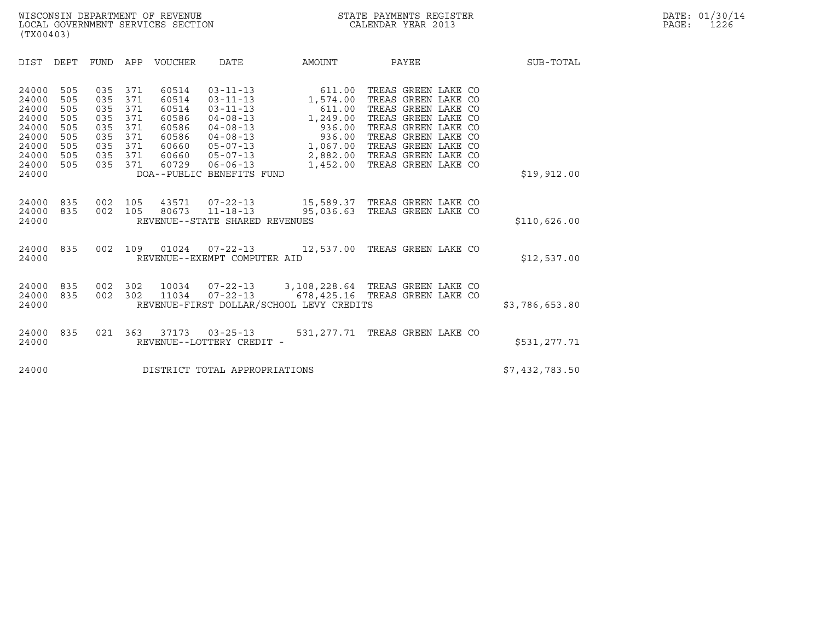| (TX00403)                                                                              |                                                             |                                                             |                                                             |                                                    |                                                                             |                                                                                                                                                                                                                    |                                                                                                                                                                                      |                |
|----------------------------------------------------------------------------------------|-------------------------------------------------------------|-------------------------------------------------------------|-------------------------------------------------------------|----------------------------------------------------|-----------------------------------------------------------------------------|--------------------------------------------------------------------------------------------------------------------------------------------------------------------------------------------------------------------|--------------------------------------------------------------------------------------------------------------------------------------------------------------------------------------|----------------|
| <b>DIST</b>                                                                            | DEPT                                                        | FUND APP                                                    |                                                             | <b>VOUCHER</b>                                     | DATE                                                                        | AMOUNT                                                                                                                                                                                                             | PAYEE                                                                                                                                                                                | SUB-TOTAL      |
| 24000<br>24000<br>24000<br>24000<br>24000<br>24000<br>24000<br>24000<br>24000<br>24000 | 505<br>505<br>505<br>505<br>505<br>505<br>505<br>505<br>505 | 035<br>035<br>035<br>035<br>035<br>035<br>035<br>035<br>035 | 371<br>371<br>371<br>371<br>371<br>371<br>371<br>371<br>371 | 60514<br>60514<br>60514<br>60586<br>60586<br>60586 | $03 - 11 - 13$<br>04-08-13<br>60729   06-06-13<br>DOA--PUBLIC BENEFITS FUND | $03 - 11 - 13$ 611.00<br>$03 - 11 - 13$ 1,574.00<br>611.00<br>$04 - 08 - 13$ 1, 249.00<br>936.00<br>$04 - 08 - 13$ 936.00<br>60660 05-07-13 1,067.00<br>60660  05-07-13  2,882.00  TREAS GREEN LAKE CO<br>1,452.00 | TREAS GREEN LAKE CO<br>TREAS GREEN LAKE CO<br>TREAS GREEN LAKE CO<br>TREAS GREEN LAKE CO<br>TREAS GREEN LAKE CO<br>TREAS GREEN LAKE CO<br>TREAS GREEN LAKE CO<br>TREAS GREEN LAKE CO | \$19,912.00    |
| 24000<br>24000<br>24000                                                                | 835<br>835                                                  | 002                                                         | 105                                                         |                                                    | REVENUE--STATE SHARED REVENUES                                              | 002  105  43571  07-22-13  15,589.37  TREAS GREEN LAKE CO<br>80673   11-18-13   95,036.63   TREAS GREEN LAKE CO                                                                                                    |                                                                                                                                                                                      | \$110,626.00   |
| 24000<br>24000                                                                         | 835                                                         | 002                                                         | 109                                                         |                                                    | REVENUE--EXEMPT COMPUTER AID                                                | $01024$ $07-22-13$ $12,537.00$                                                                                                                                                                                     | TREAS GREEN LAKE CO                                                                                                                                                                  | \$12,537.00    |
| 24000<br>24000<br>24000                                                                | 835<br>835                                                  | 002<br>002                                                  | 302<br>302                                                  | 11034                                              |                                                                             | 10034  07-22-13  3,108,228.64  TREAS GREEN LAKE CO<br>07-22-13 678,425.16 TREAS GREEN LAKE CO<br>REVENUE-FIRST DOLLAR/SCHOOL LEVY CREDITS                                                                          |                                                                                                                                                                                      | \$3,786,653.80 |
| 24000<br>24000                                                                         | 835                                                         | 021                                                         | 363                                                         |                                                    | 37173 03-25-13<br>REVENUE--LOTTERY CREDIT -                                 |                                                                                                                                                                                                                    | 531, 277.71 TREAS GREEN LAKE CO                                                                                                                                                      | \$531,277.71   |
| 24000                                                                                  |                                                             |                                                             |                                                             |                                                    | DISTRICT TOTAL APPROPRIATIONS                                               |                                                                                                                                                                                                                    |                                                                                                                                                                                      | \$7,432,783.50 |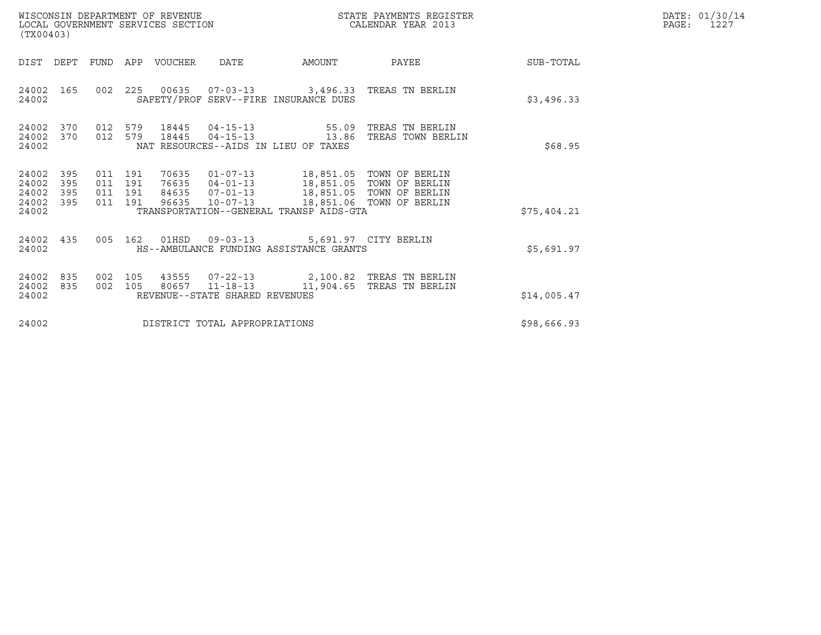| (TX00403)                                 |                          |                                          |     | WISCONSIN DEPARTMENT OF REVENUE<br>LOCAL GOVERNMENT SERVICES SECTION |                                                    |                                                                                                                                                                  | DATE: 01/30/14<br>PAGE:<br>1227                                                      |             |  |
|-------------------------------------------|--------------------------|------------------------------------------|-----|----------------------------------------------------------------------|----------------------------------------------------|------------------------------------------------------------------------------------------------------------------------------------------------------------------|--------------------------------------------------------------------------------------|-------------|--|
| DIST                                      | DEPT                     |                                          |     | FUND APP VOUCHER                                                     | DATE                                               | AMOUNT                                                                                                                                                           | PAYEE                                                                                | SUB-TOTAL   |  |
| 24002 165<br>24002                        |                          | 002 225                                  |     |                                                                      |                                                    | SAFETY/PROF SERV--FIRE INSURANCE DUES                                                                                                                            | 00635  07-03-13  3,496.33  TREAS TN BERLIN                                           | \$3,496.33  |  |
| 24002<br>24002<br>24002                   | 370<br>370               | 012 579<br>012 579                       |     | 18445<br>18445                                                       |                                                    | $04 - 15 - 13$ 55.09<br>$04 - 15 - 13$ 13.86<br>NAT RESOURCES--AIDS IN LIEU OF TAXES                                                                             | TREAS TN BERLIN<br>TREAS TOWN BERLIN                                                 | \$68.95     |  |
| 24002<br>24002<br>24002<br>24002<br>24002 | 395<br>395<br>395<br>395 | 011 191<br>011 191<br>011 191<br>011 191 |     | 70635<br>96635                                                       | 76635 04-01-13<br>84635 07-01-13<br>$10 - 07 - 13$ | 01-07-13 18,851.05 TOWN OF BERLIN<br>18,851.05 TOWN OF BERLIN<br>18,851.05 TOWN OF BERLIN<br>18,851.06 TOWN OF BERLIN<br>TRANSPORTATION--GENERAL TRANSP AIDS-GTA |                                                                                      | \$75,404.21 |  |
| 24002 435<br>24002                        |                          | 005 162                                  |     |                                                                      |                                                    | 01HSD  09-03-13  5,691.97  CITY BERLIN<br>HS--AMBULANCE FUNDING ASSISTANCE GRANTS                                                                                |                                                                                      | \$5,691.97  |  |
| 24002<br>24002<br>24002                   | 835<br>835               | 002<br>002 105                           | 105 | 43555                                                                | REVENUE--STATE SHARED REVENUES                     |                                                                                                                                                                  | 07-22-13    2,100.82 TREAS TN BERLIN<br>80657  11-18-13   11,904.65  TREAS TN BERLIN | \$14,005.47 |  |
| 24002                                     |                          |                                          |     |                                                                      | DISTRICT TOTAL APPROPRIATIONS                      |                                                                                                                                                                  |                                                                                      | \$98,666.93 |  |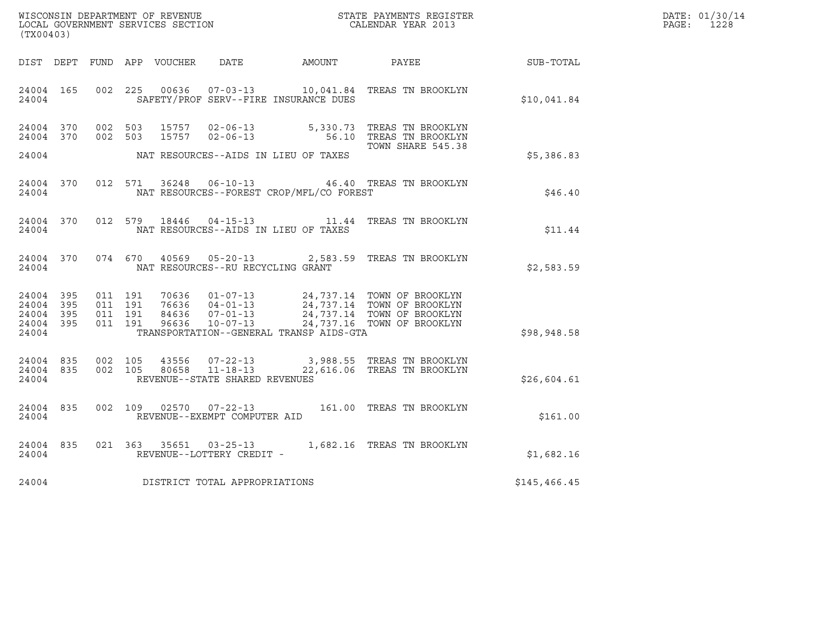| WISCONSIN DEPARTMENT OF REVENUE   | STATE PAYMENTS REGISTER | DATE: 01/30/14 |
|-----------------------------------|-------------------------|----------------|
| LOCAL GOVERNMENT SERVICES SECTION | CALENDAR YEAR 2013      | 1228<br>PAGE : |

| (TX00403)                                        |           |  |                                     |                                                |                                                                                                                                                                                                                                                                                                                                                |                                                        | DATE: 01/30/14<br>PAGE: 1228 |
|--------------------------------------------------|-----------|--|-------------------------------------|------------------------------------------------|------------------------------------------------------------------------------------------------------------------------------------------------------------------------------------------------------------------------------------------------------------------------------------------------------------------------------------------------|--------------------------------------------------------|------------------------------|
|                                                  |           |  |                                     |                                                |                                                                                                                                                                                                                                                                                                                                                | DIST DEPT FUND APP VOUCHER DATE AMOUNT PAYEE SUB-TOTAL |                              |
|                                                  |           |  |                                     | 24004 SAFETY/PROF SERV--FIRE INSURANCE DUES    | 24004 165 002 225 00636 07-03-13 10,041.84 TREAS TN BROOKLYN                                                                                                                                                                                                                                                                                   | \$10,041.84                                            |                              |
|                                                  |           |  |                                     |                                                | $\begin{array}{cccccccc} 24004 & 370 & 002 & 503 & 15757 & 02-06-13 & & & & 5,330.73 & \text{TREAS TN BROOKLYN} \\ 24004 & 370 & 002 & 503 & 15757 & 02-06-13 & & & & 56.10 & \text{TREAS TN BROOKLYN} \end{array}$<br>TOWN SHARE 545.38                                                                                                       |                                                        |                              |
|                                                  |           |  |                                     | 24004 NAT RESOURCES--AIDS IN LIEU OF TAXES     |                                                                                                                                                                                                                                                                                                                                                | \$5,386.83                                             |                              |
|                                                  |           |  |                                     | 24004 NAT RESOURCES--FOREST CROP/MFL/CO FOREST | 24004 370 012 571 36248 06-10-13 46.40 TREAS TN BROOKLYN                                                                                                                                                                                                                                                                                       | \$46.40                                                |                              |
|                                                  | 24004     |  |                                     | NAT RESOURCES--AIDS IN LIEU OF TAXES           | 24004 370 012 579 18446 04-15-13 11.44 TREAS TN BROOKLYN                                                                                                                                                                                                                                                                                       | \$11.44                                                |                              |
| 24004                                            | 24004 370 |  | NAT RESOURCES--RU RECYCLING GRANT   |                                                | 074 670 40569 05-20-13 2,583.59 TREAS TN BROOKLYN                                                                                                                                                                                                                                                                                              | \$2,583.59                                             |                              |
| 24004 395<br>24004 395<br>24004 395<br>24004 395 |           |  |                                     |                                                | $\begin{array}{cccccc} 011 & 191 & 70636 & 01\text{--}07\text{--}13 & 24\text{,}737.14 & \text{TOWN OF BROOKLYN} \\ 011 & 191 & 76636 & 04\text{--}01\text{--}13 & 24\text{,}737.14 & \text{TOWN OF BROOKLYN} \\ 011 & 191 & 84636 & 07\text{--}01\text{--}13 & 24\text{,}737.14 & \text{TOWN OF BROOKLYN} \\ 011 & 191 & 96636 & 10\text{--}$ |                                                        |                              |
| 24004                                            |           |  |                                     | TRANSPORTATION--GENERAL TRANSP AIDS-GTA        |                                                                                                                                                                                                                                                                                                                                                | \$98,948.58                                            |                              |
| 24004                                            |           |  | REVENUE--STATE SHARED REVENUES      |                                                | $\begin{array}{cccccccc} 24004 & 835 & 002 & 105 & 43556 & 07-22-13 & & 3,988.55 & \text{TREAS TN BROOKLYN} \\ 24004 & 835 & 002 & 105 & 80658 & 11-18-13 & & 22,616.06 & \text{TREAS TN BROOKLYN} \end{array}$                                                                                                                                | \$26,604.61                                            |                              |
| 24004                                            | 24004 835 |  | REVENUE--EXEMPT COMPUTER AID        |                                                | 002 109 02570 07-22-13 161.00 TREAS TN BROOKLYN                                                                                                                                                                                                                                                                                                | \$161.00                                               |                              |
| 24004                                            | 24004 835 |  | REVENUE--LOTTERY CREDIT -           |                                                | 021 363 35651 03-25-13 1,682.16 TREAS TN BROOKLYN                                                                                                                                                                                                                                                                                              | \$1,682.16                                             |                              |
|                                                  |           |  | 24004 DISTRICT TOTAL APPROPRIATIONS |                                                |                                                                                                                                                                                                                                                                                                                                                | \$145, 466.45                                          |                              |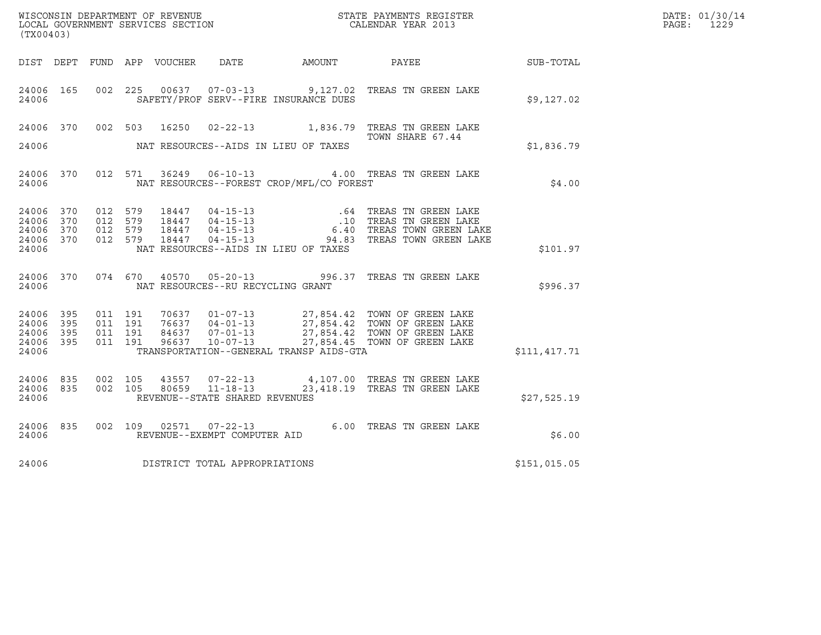| (TX00403)                       |            |         |         |                                  |                                          |                                                                                                                                                                                                                                                                                                                                                  |              | DATE: 01/30/14<br>PAGE: 1229 |
|---------------------------------|------------|---------|---------|----------------------------------|------------------------------------------|--------------------------------------------------------------------------------------------------------------------------------------------------------------------------------------------------------------------------------------------------------------------------------------------------------------------------------------------------|--------------|------------------------------|
|                                 |            |         |         | DIST DEPT FUND APP VOUCHER  DATE | AMOUNT PAYEE                             |                                                                                                                                                                                                                                                                                                                                                  | SUB-TOTAL    |                              |
| 24006                           |            |         |         |                                  | SAFETY/PROF SERV--FIRE INSURANCE DUES    | 24006 165 002 225 00637 07-03-13 9,127.02 TREAS TN GREEN LAKE                                                                                                                                                                                                                                                                                    | \$9,127.02   |                              |
|                                 |            |         |         |                                  |                                          | 24006 370 002 503 16250 02-22-13 1,836.79 TREAS TN GREEN LAKE<br>TOWN SHARE 67.44                                                                                                                                                                                                                                                                |              |                              |
| 24006                           |            |         |         |                                  | NAT RESOURCES--AIDS IN LIEU OF TAXES     |                                                                                                                                                                                                                                                                                                                                                  | \$1,836.79   |                              |
| 24006                           |            |         |         |                                  | NAT RESOURCES--FOREST CROP/MFL/CO FOREST | 24006 370 012 571 36249 06-10-13 4.00 TREAS TN GREEN LAKE                                                                                                                                                                                                                                                                                        | \$4.00       |                              |
| 24006<br>24006                  | 370<br>370 | 012 579 | 012 579 |                                  |                                          | $\begin{array}{cccccccc} 012 & 579 & 18447 & 04-15-13 & .64 & \text{TREAS TN GREEN LAKE} \\ 012 & 579 & 18447 & 04-15-13 & .10 & \text{TREAS TN GREEN LAKE} \\ 012 & 579 & 18447 & 04-15-13 & .10 & \text{TREAS TOWN GREEN LAKE} \\ 012 & 579 & 18447 & 04-15-13 & .94.83 & \text{TREAS TOWN GREEN LAKE} \end{array}$                            |              |                              |
| 24006<br>24006<br>24006         | 370<br>370 | 012 579 |         |                                  | NAT RESOURCES--AIDS IN LIEU OF TAXES     |                                                                                                                                                                                                                                                                                                                                                  | \$101.97     |                              |
| 24006                           |            |         |         |                                  | NAT RESOURCES--RU RECYCLING GRANT        | 24006 370 074 670 40570 05-20-13 996.37 TREAS TN GREEN LAKE                                                                                                                                                                                                                                                                                      | \$996.37     |                              |
| 24006 395<br>24006<br>24006     | 395<br>395 |         |         |                                  |                                          | $\begin{array}{cccccc} 011 & 191 & 70637 & 01\text{--}07\text{--}13 & 27,854.42 & \text{TOWN OF GREEN LAKE} \\ 011 & 191 & 76637 & 04\text{--}01\text{--}13 & 27,854.42 & \text{TOWN OF GREEN LAKE} \\ 011 & 191 & 84637 & 07\text{--}01\text{--}13 & 27,854.42 & \text{TOWN OF GREEN LAKE} \\ 011 & 191 & 96637 & 10\text{--}07\text{--}13 & 2$ |              |                              |
| 24006<br>24006                  | 395        |         |         |                                  | TRANSPORTATION--GENERAL TRANSP AIDS-GTA  |                                                                                                                                                                                                                                                                                                                                                  | \$111,417.71 |                              |
| 24006 835<br>24006 835<br>24006 |            |         |         | REVENUE--STATE SHARED REVENUES   |                                          | 002 105 43557 07-22-13 4,107.00 TREAS TN GREEN LAKE<br>002 105 80659 11-18-13 23,418.19 TREAS TN GREEN LAKE                                                                                                                                                                                                                                      | \$27,525.19  |                              |
| 24006                           |            |         |         | REVENUE--EXEMPT COMPUTER AID     |                                          | 24006 835 002 109 02571 07-22-13 6.00 TREAS TN GREEN LAKE                                                                                                                                                                                                                                                                                        | \$6.00       |                              |
| 24006                           |            |         |         | DISTRICT TOTAL APPROPRIATIONS    |                                          |                                                                                                                                                                                                                                                                                                                                                  | \$151,015.05 |                              |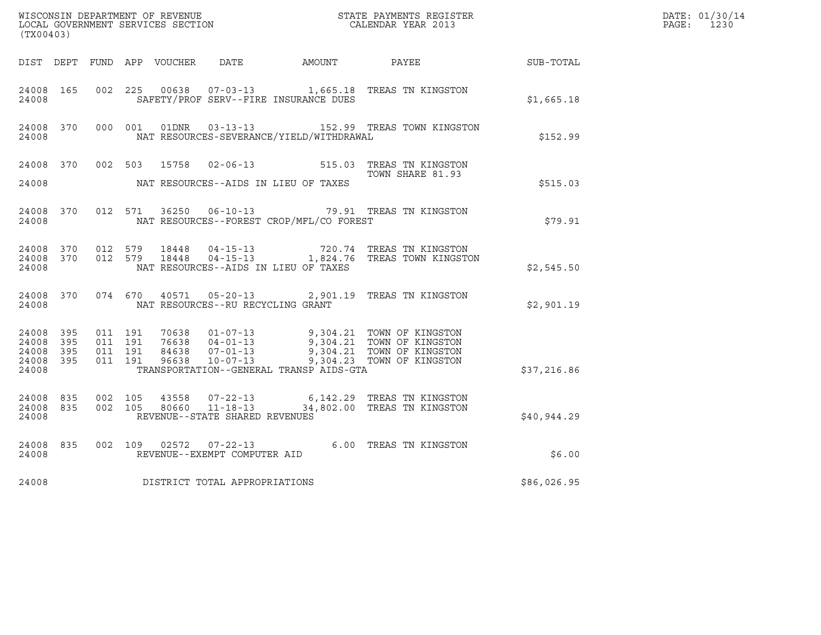| (TX00403)                                         |              |                                          |         |                |                                                                    |                                              |                                                                                                                                                  |                  | DATE: 01/30/14<br>PAGE:<br>1230 |
|---------------------------------------------------|--------------|------------------------------------------|---------|----------------|--------------------------------------------------------------------|----------------------------------------------|--------------------------------------------------------------------------------------------------------------------------------------------------|------------------|---------------------------------|
|                                                   |              |                                          |         |                |                                                                    | DIST DEPT FUND APP VOUCHER DATE AMOUNT PAYEE |                                                                                                                                                  | <b>SUB-TOTAL</b> |                                 |
| 24008 165<br>24008                                |              | 002 225                                  |         | 00638          |                                                                    | SAFETY/PROF SERV--FIRE INSURANCE DUES        | 07-03-13 1,665.18 TREAS TN KINGSTON                                                                                                              | \$1,665.18       |                                 |
| 24008                                             | 24008 370    |                                          | 000 001 |                |                                                                    | NAT RESOURCES-SEVERANCE/YIELD/WITHDRAWAL     | 152.99 TREAS TOWN KINGSTON                                                                                                                       | \$152.99         |                                 |
| 24008 370<br>24008                                |              | 002 503                                  |         | 15758          |                                                                    | NAT RESOURCES--AIDS IN LIEU OF TAXES         | 02-06-13 515.03 TREAS TN KINGSTON<br>TOWN SHARE 81.93                                                                                            | \$515.03         |                                 |
| 24008 370<br>24008                                |              |                                          | 012 571 |                |                                                                    | NAT RESOURCES--FOREST CROP/MFL/CO FOREST     | 36250  06-10-13  79.91  TREAS TN KINGSTON                                                                                                        | \$79.91          |                                 |
| 24008 370<br>24008                                |              | 24008 370 012 579                        | 012 579 |                |                                                                    | NAT RESOURCES--AIDS IN LIEU OF TAXES         | $18448 \qquad 04-15-13 \qquad 720.74 \qquad \text{TREAS TN KINGSTON} \\ 18448 \qquad 04-15-13 \qquad 1,824.76 \qquad \text{TREAS TOWN KINGSTON}$ | \$2,545.50       |                                 |
| 24008 370<br>24008                                |              | 074 670                                  |         | 40571          | NAT RESOURCES--RU RECYCLING GRANT                                  |                                              | 05-20-13 2,901.19 TREAS TN KINGSTON                                                                                                              | \$2,901.19       |                                 |
| 24008 395<br>24008<br>24008<br>24008 395<br>24008 | - 395<br>395 | 011 191<br>011 191<br>011 191<br>011 191 |         | 96638          | 70638 01-07-13<br>84638 07-01-13<br>$10 - 07 - 13$                 | TRANSPORTATION--GENERAL TRANSP AIDS-GTA      | 9,304.21 TOWN OF KINGSTON<br>76638  04-01-13  9,304.21  TOWN OF KINGSTON<br>9,304.21 TOWN OF KINGSTON<br>9,304.23 TOWN OF KINGSTON               | \$37,216.86      |                                 |
| 24008 835<br>24008 835<br>24008                   |              | 002 105<br>002 105                       |         | 43558<br>80660 | $07 - 22 - 13$<br>$11 - 18 - 13$<br>REVENUE--STATE SHARED REVENUES |                                              | 6,142.29 TREAS TN KINGSTON<br>34,802.00 TREAS TN KINGSTON                                                                                        | \$40,944.29      |                                 |
| 24008 835<br>24008                                |              | 002 109                                  |         | 02572          | $07 - 22 - 13$<br>REVENUE--EXEMPT COMPUTER AID                     |                                              | 6.00 TREAS TN KINGSTON                                                                                                                           | \$6.00           |                                 |
| 24008                                             |              |                                          |         |                | DISTRICT TOTAL APPROPRIATIONS                                      |                                              |                                                                                                                                                  | \$86,026.95      |                                 |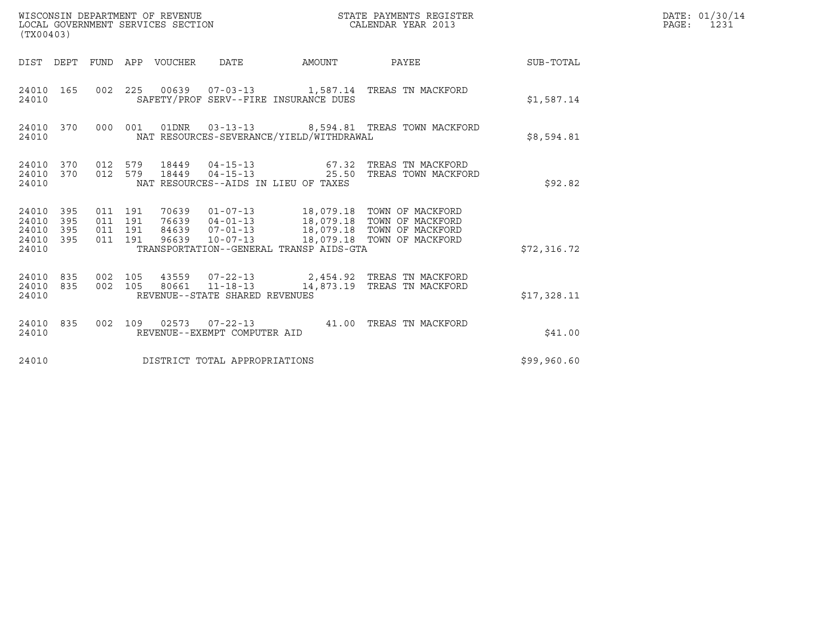| WISCONSIN DEPARTMENT OF REVENUE<br>LOCAL GOVERNMENT SERVICES SECTION<br>(TX00403) |                                             |                                  |                                                           |        | STATE PAYMENTS REGISTER<br>CALENDAR YEAR 2013                                                                                                   |             | DATE: 01/30/14<br>PAGE:<br>1231 |
|-----------------------------------------------------------------------------------|---------------------------------------------|----------------------------------|-----------------------------------------------------------|--------|-------------------------------------------------------------------------------------------------------------------------------------------------|-------------|---------------------------------|
| DIST DEPT                                                                         | FUND APP VOUCHER                            |                                  | DATE                                                      | AMOUNT | PAYEE                                                                                                                                           | SUB-TOTAL   |                                 |
| 24010 165<br>24010                                                                | 002 225                                     |                                  | SAFETY/PROF SERV--FIRE INSURANCE DUES                     |        |                                                                                                                                                 | \$1,587.14  |                                 |
| 24010 370<br>24010                                                                | 000 001                                     |                                  | NAT RESOURCES-SEVERANCE/YIELD/WITHDRAWAL                  |        | 01DNR  03-13-13  8,594.81 TREAS TOWN MACKFORD                                                                                                   | \$8,594.81  |                                 |
| 24010 370<br>24010 370<br>24010                                                   | 012 579<br>012 579                          | 18449<br>18449                   | NAT RESOURCES--AIDS IN LIEU OF TAXES                      |        | 04-15-13 67.32 TREAS TN MACKFORD<br>04-15-13 25.50 TREAS TOWN MACKFORD                                                                          | \$92.82     |                                 |
| 24010 395<br>24010<br>395<br>24010<br>395<br>395<br>24010<br>24010                | 011 191<br>011 191<br>011<br>191<br>011 191 | 70639<br>76639<br>84639<br>96639 | $10 - 07 - 13$<br>TRANSPORTATION--GENERAL TRANSP AIDS-GTA |        | 01-07-13 18,079.18 TOWN OF MACKFORD<br>04-01-13 18,079.18 TOWN OF MACKFORD<br>07-01-13 18,079.18 TOWN OF MACKFORD<br>18,079.18 TOWN OF MACKFORD | \$72,316.72 |                                 |
| 24010 835<br>24010 835<br>24010                                                   | 002 105<br>002 105                          |                                  | REVENUE--STATE SHARED REVENUES                            |        | 43559  07-22-13  2,454.92  TREAS TN MACKFORD<br>80661  11-18-13  14,873.19  TREAS TN MACKFORD                                                   | \$17,328.11 |                                 |
| 24010 835<br>24010                                                                | 002 109                                     |                                  | REVENUE--EXEMPT COMPUTER AID                              |        |                                                                                                                                                 | \$41.00     |                                 |
| 24010                                                                             |                                             |                                  | DISTRICT TOTAL APPROPRIATIONS                             |        |                                                                                                                                                 | \$99,960.60 |                                 |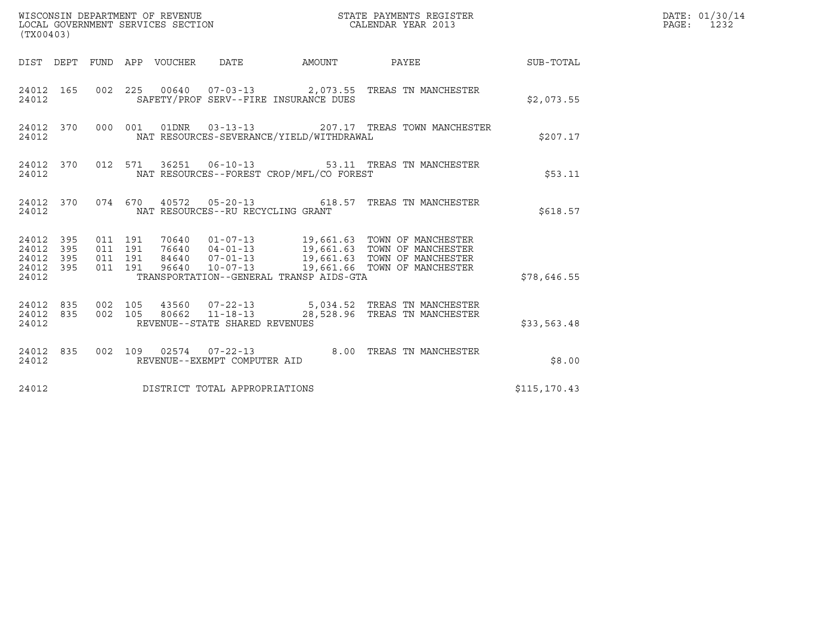| (TX00403)                                                       |                    |                    |                                   |                                          |                                                                                                                                                                                             |               | DATE: 01/30/14<br>PAGE: 1232 |
|-----------------------------------------------------------------|--------------------|--------------------|-----------------------------------|------------------------------------------|---------------------------------------------------------------------------------------------------------------------------------------------------------------------------------------------|---------------|------------------------------|
|                                                                 |                    |                    |                                   |                                          | DIST DEPT FUND APP VOUCHER DATE AMOUNT PAYEE                                                                                                                                                | SUB-TOTAL     |                              |
| 24012 165<br>24012                                              |                    |                    |                                   | SAFETY/PROF SERV--FIRE INSURANCE DUES    | 002 225 00640 07-03-13 2,073.55 TREAS TN MANCHESTER                                                                                                                                         | \$2,073.55    |                              |
| 24012 370<br>24012                                              |                    |                    | 000 001 01DNR 03-13-13            | NAT RESOURCES-SEVERANCE/YIELD/WITHDRAWAL | 207.17 TREAS TOWN MANCHESTER                                                                                                                                                                | \$207.17      |                              |
| 24012 370<br>24012                                              |                    |                    |                                   | NAT RESOURCES--FOREST CROP/MFL/CO FOREST | 012 571 36251 06-10-13 53.11 TREAS TN MANCHESTER                                                                                                                                            | \$53.11       |                              |
| 24012                                                           |                    |                    | NAT RESOURCES--RU RECYCLING GRANT |                                          | 24012 370 074 670 40572 05-20-13 618.57 TREAS TN MANCHESTER                                                                                                                                 | \$618.57      |                              |
| 24012 395<br>24012<br>395<br>24012<br>395<br>24012 395<br>24012 | 011 191<br>011 191 | 011 191<br>011 191 |                                   | TRANSPORTATION--GENERAL TRANSP AIDS-GTA  | 70640  01-07-13  19,661.63  TOWN OF MANCHESTER<br>76640 04-01-13 19,661.63 TOWN OF MANCHESTER<br>84640 07-01-13 19,661.63 TOWN OF MANCHESTER<br>96640 10-07-13 19,661.66 TOWN OF MANCHESTER | \$78,646.55   |                              |
| 24012 835<br>24012 835<br>24012                                 | 002 105<br>002 105 |                    | REVENUE--STATE SHARED REVENUES    |                                          | 43560  07-22-13  5,034.52  TREAS TN MANCHESTER<br>80662 11-18-13 28,528.96 TREAS TN MANCHESTER                                                                                              | \$33,563.48   |                              |
| 24012 835<br>24012                                              |                    |                    | REVENUE--EXEMPT COMPUTER AID      |                                          | 002 109 02574 07-22-13 8.00 TREAS TN MANCHESTER                                                                                                                                             | \$8.00        |                              |
| 24012                                                           |                    |                    | DISTRICT TOTAL APPROPRIATIONS     |                                          |                                                                                                                                                                                             | \$115, 170.43 |                              |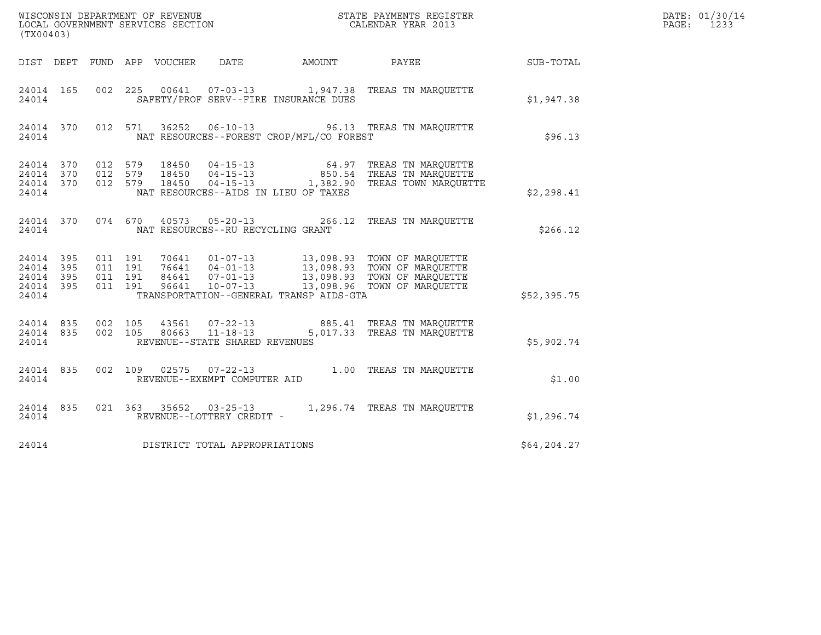|                                                       |     |                               |                    |                                 |                                                  |                                          |                                                                                                                                                                                                              |              | DATE: 01/30/14<br>PAGE:<br>1233 |
|-------------------------------------------------------|-----|-------------------------------|--------------------|---------------------------------|--------------------------------------------------|------------------------------------------|--------------------------------------------------------------------------------------------------------------------------------------------------------------------------------------------------------------|--------------|---------------------------------|
| (TX00403)                                             |     |                               |                    |                                 |                                                  |                                          |                                                                                                                                                                                                              |              |                                 |
|                                                       |     |                               |                    | DIST DEPT FUND APP VOUCHER DATE |                                                  | AMOUNT                                   | PAYEE SUB-TOTAL                                                                                                                                                                                              |              |                                 |
| 24014 165<br>24014                                    |     |                               |                    |                                 |                                                  | SAFETY/PROF SERV--FIRE INSURANCE DUES    | 002 225 00641 07-03-13 1,947.38 TREAS TN MARQUETTE                                                                                                                                                           | \$1,947.38   |                                 |
| 24014 370<br>24014                                    |     |                               | 012 571            |                                 |                                                  | NAT RESOURCES--FOREST CROP/MFL/CO FOREST | 36252  06-10-13  96.13  TREAS TN MARQUETTE                                                                                                                                                                   | \$96.13      |                                 |
| 24014 370<br>24014 370<br>24014 370<br>24014          |     | 012 579<br>012 579<br>012 579 |                    |                                 |                                                  | NAT RESOURCES--AIDS IN LIEU OF TAXES     |                                                                                                                                                                                                              | \$2,298.41   |                                 |
| 24014 370<br>24014                                    |     |                               | 074 670            |                                 | NAT RESOURCES--RU RECYCLING GRANT                |                                          | 40573  05-20-13  266.12  TREAS TN MARQUETTE                                                                                                                                                                  | \$266.12     |                                 |
| 24014 395<br>24014 395<br>24014<br>24014 395<br>24014 | 395 | 011 191<br>011 191            | 011 191<br>011 191 |                                 |                                                  | TRANSPORTATION--GENERAL TRANSP AIDS-GTA  | 70641   01-07-13   13,098.93   TOWN OF MARQUETTE<br>76641   04-01-13   13,098.93   TOWN OF MARQUETTE<br>84641   07-01-13   13,098.93   TOWN OF MARQUETTE<br>96641   10-07-13   13,098.96   TOWN OF MARQUETTE | \$52,395.75  |                                 |
| 24014 835<br>24014 835<br>24014                       |     | 002 105<br>002 105            |                    | 43561<br>80663                  | $11 - 18 - 13$<br>REVENUE--STATE SHARED REVENUES |                                          | 07-22-13  885.41 TREAS TN MARQUETTE<br>5,017.33 TREAS TN MARQUETTE                                                                                                                                           | \$5,902.74   |                                 |
| 24014 835<br>24014                                    |     |                               |                    |                                 | REVENUE--EXEMPT COMPUTER AID                     |                                          | 002 109 02575 07-22-13 1.00 TREAS TN MARQUETTE                                                                                                                                                               | \$1.00       |                                 |
| 24014 835<br>24014                                    |     |                               |                    |                                 | REVENUE--LOTTERY CREDIT -                        |                                          | 021 363 35652 03-25-13 1,296.74 TREAS TN MARQUETTE                                                                                                                                                           | \$1,296.74   |                                 |
| 24014                                                 |     |                               |                    |                                 | DISTRICT TOTAL APPROPRIATIONS                    |                                          |                                                                                                                                                                                                              | \$64, 204.27 |                                 |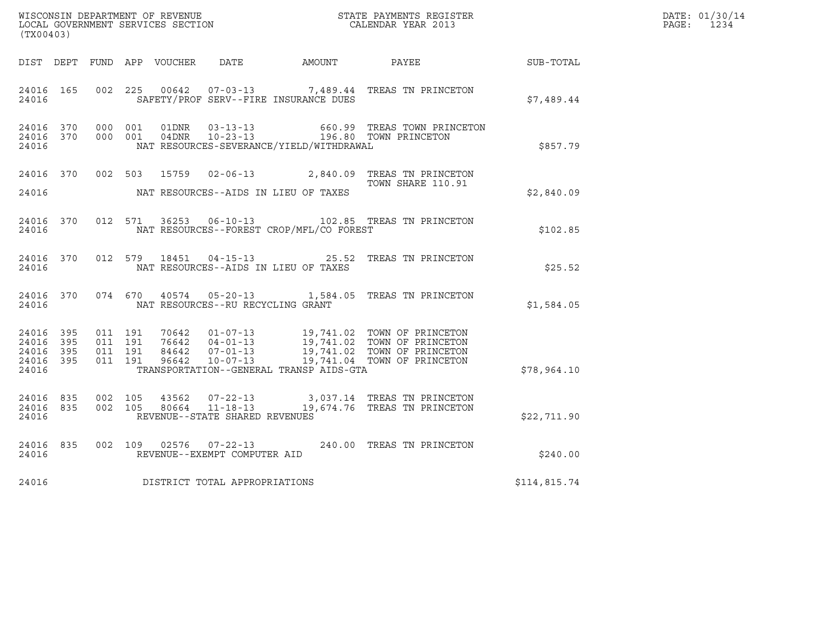| (TX00403)                       |                        |                                          |  |                                   |                                              |                                                                                                                                                                                                  |                  | DATE: 01/30/14<br>PAGE: 1234 |
|---------------------------------|------------------------|------------------------------------------|--|-----------------------------------|----------------------------------------------|--------------------------------------------------------------------------------------------------------------------------------------------------------------------------------------------------|------------------|------------------------------|
|                                 |                        |                                          |  |                                   | DIST DEPT FUND APP VOUCHER DATE AMOUNT PAYEE |                                                                                                                                                                                                  | <b>SUB-TOTAL</b> |                              |
| 24016                           | 24016 165              | 002 225                                  |  |                                   | SAFETY/PROF SERV--FIRE INSURANCE DUES        | 00642  07-03-13  7,489.44 TREAS TN PRINCETON                                                                                                                                                     | \$7,489.44       |                              |
| 24016                           | 24016 370              | 24016 370 000 001                        |  |                                   | NAT RESOURCES-SEVERANCE/YIELD/WITHDRAWAL     | 000 001 01DNR 03-13-13 660.99 TREAS TOWN PRINCETON<br>000 001 04DNR 10-23-13 196.80 TOWN PRINCETON                                                                                               | \$857.79         |                              |
| 24016                           |                        |                                          |  |                                   | NAT RESOURCES--AIDS IN LIEU OF TAXES         | 24016 370 002 503 15759 02-06-13 2,840.09 TREAS TN PRINCETON<br>TOWN SHARE 110.91                                                                                                                | \$2,840.09       |                              |
| 24016                           |                        |                                          |  |                                   | NAT RESOURCES--FOREST CROP/MFL/CO FOREST     | 24016 370 012 571 36253 06-10-13 102.85 TREAS TN PRINCETON                                                                                                                                       | \$102.85         |                              |
| 24016                           |                        |                                          |  |                                   | NAT RESOURCES--AIDS IN LIEU OF TAXES         | 24016 370 012 579 18451 04-15-13 25.52 TREAS TN PRINCETON                                                                                                                                        | \$25.52          |                              |
| 24016                           |                        |                                          |  | NAT RESOURCES--RU RECYCLING GRANT |                                              | 24016 370 074 670 40574 05-20-13 1,584.05 TREAS TN PRINCETON                                                                                                                                     | \$1,584.05       |                              |
| 24016 395<br>24016 395<br>24016 | 24016 395<br>24016 395 | 011 191<br>011 191<br>011 191<br>011 191 |  |                                   | TRANSPORTATION--GENERAL TRANSP AIDS-GTA      | 70642  01-07-13  19,741.02  TOWN OF PRINCETON<br>76642  04-01-13  19,741.02  TOWN OF PRINCETON<br>84642  07-01-13  19,741.02  TOWN OF PRINCETON<br>96642  10-07-13  19,741.04  TOWN OF PRINCETON | \$78,964.10      |                              |
| 24016                           | 24016 835              | 24016 835 002 105                        |  | REVENUE--STATE SHARED REVENUES    |                                              | 002 105 43562 07-22-13 3,037.14 TREAS TN PRINCETON<br>002 105 80664 11-18-13 19,674.76 TREAS TN PRINCETON                                                                                        | \$22,711.90      |                              |
| 24016                           | 24016 835              |                                          |  | REVENUE--EXEMPT COMPUTER AID      |                                              | 002 109 02576 07-22-13 240.00 TREAS TN PRINCETON                                                                                                                                                 | \$240.00         |                              |
| 24016                           |                        |                                          |  | DISTRICT TOTAL APPROPRIATIONS     |                                              |                                                                                                                                                                                                  | \$114,815.74     |                              |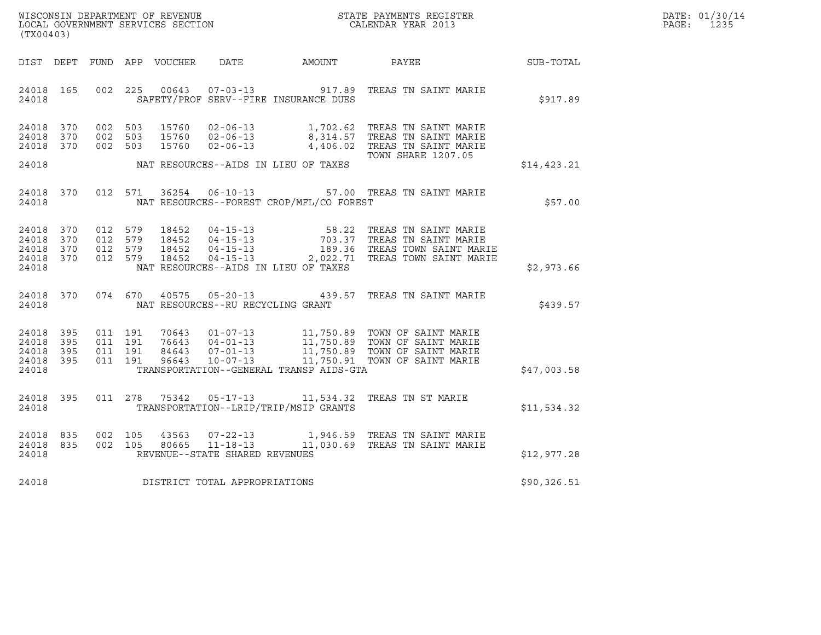| WISCONSIN DEPARTMENT OF REVENUE   | STATE PAYMENTS REGISTER | DATE: 01/30/14 |
|-----------------------------------|-------------------------|----------------|
| LOCAL GOVERNMENT SERVICES SECTION | CALENDAR YEAR 2013      | 1235<br>PAGE:  |

| (TX00403)                                                                                         | $\mathbf{S}^{\prime}$<br>WISCONSIN DEPARTMENT OF REVENUE<br>STATE PAYMENTS REGISTER<br>LOCAL GOVERNMENT SERVICES SECTION<br>CALENDAR YEAR 2013                                  |                                                                                                                                                                   |             |  |  |  |  |  |
|---------------------------------------------------------------------------------------------------|---------------------------------------------------------------------------------------------------------------------------------------------------------------------------------|-------------------------------------------------------------------------------------------------------------------------------------------------------------------|-------------|--|--|--|--|--|
| DIST<br>DEPT<br>FUND                                                                              | APP<br>VOUCHER<br>DATE                                                                                                                                                          | <b>AMOUNT</b><br>PAYEE                                                                                                                                            | SUB-TOTAL   |  |  |  |  |  |
| 165<br>002<br>24018<br>24018                                                                      | $07 - 03 - 13$ 917.89<br>225<br>00643<br>SAFETY/PROF SERV--FIRE INSURANCE DUES                                                                                                  | TREAS TN SAINT MARIE                                                                                                                                              | \$917.89    |  |  |  |  |  |
| 370<br>24018<br>002<br>370<br>002<br>24018<br>24018<br>370<br>002                                 | 503<br>15760<br>$02 - 06 - 13$<br>503<br>15760<br>$02 - 06 - 13$<br>$02 - 06 - 13$<br>15760<br>503                                                                              | TREAS TN SAINT MARIE<br>1,702.62<br>$\frac{1}{8}$ , $\frac{1}{214}$ . 57<br>TREAS TN SAINT MARIE<br>4,406.02<br>TREAS TN SAINT MARIE<br><b>TOWN SHARE 1207.05</b> |             |  |  |  |  |  |
| 24018                                                                                             | NAT RESOURCES--AIDS IN LIEU OF TAXES                                                                                                                                            |                                                                                                                                                                   | \$14,423.21 |  |  |  |  |  |
| 370<br>012<br>24018<br>24018                                                                      | 571<br>36254<br>$06 - 10 - 13$<br>NAT RESOURCES--FOREST CROP/MFL/CO FOREST                                                                                                      | 57.00 TREAS TN SAINT MARIE                                                                                                                                        | \$57.00     |  |  |  |  |  |
| 24018<br>370<br>012<br>012<br>24018<br>370<br>24018<br>370<br>012<br>24018<br>370<br>012<br>24018 | 579<br>18452<br>$04 - 15 - 13$<br>$04 - 15 - 13$<br>$04 - 15 - 13$<br>579<br>18452<br>18452<br>579<br>579<br>18452<br>NAT RESOURCES--AIDS IN LIEU OF TAXES                      | TREAS TN SAINT MARIE<br>58.22<br>TREAS TN SAINT MARIE<br>703.37<br>189.36 TREAS TOWN SAINT MARIE<br>04-15-13 2,022.71 TREAS TOWN SAINT MARIE                      | \$2,973.66  |  |  |  |  |  |
| 370<br>24018<br>24018                                                                             | 074 670<br>40575 05-20-13 439.57<br>NAT RESOURCES--RU RECYCLING GRANT                                                                                                           | TREAS TN SAINT MARIE                                                                                                                                              | \$439.57    |  |  |  |  |  |
| 24018<br>395<br>011<br>24018<br>395<br>011<br>24018<br>395<br>011<br>24018<br>395<br>011<br>24018 | 191<br>70643<br>$01 - 07 - 13$<br>191<br>76643<br>$04 - 01 - 13$<br>191<br>84643<br>$07 - 01 - 13$<br>191<br>96643<br>$10 - 07 - 13$<br>TRANSPORTATION--GENERAL TRANSP AIDS-GTA | 11,750.89 TOWN OF SAINT MARIE<br>11,750.89 TOWN OF SAINT MARIE<br>11,750.89 TOWN OF SAINT MARIE<br>11,750.91 TOWN OF SAINT MARIE                                  | \$47,003.58 |  |  |  |  |  |
| 395<br>011<br>24018<br>24018                                                                      | 278<br>75342<br>$05 - 17 - 13$<br>TRANSPORTATION--LRIP/TRIP/MSIP GRANTS                                                                                                         | 11,534.32<br>TREAS TN ST MARIE                                                                                                                                    | \$11,534.32 |  |  |  |  |  |
| 835<br>002<br>24018<br>002<br>835<br>24018<br>24018                                               | $07 - 22 - 13$<br>105<br>43563<br>$11 - 18 - 13$<br>105<br>80665<br>REVENUE--STATE SHARED REVENUES                                                                              | 1,946.59 TREAS TN SAINT MARIE<br>11,030.69 TREAS TN SAINT MARIE                                                                                                   | \$12,977.28 |  |  |  |  |  |
| 24018                                                                                             | DISTRICT TOTAL APPROPRIATIONS                                                                                                                                                   |                                                                                                                                                                   | \$90,326.51 |  |  |  |  |  |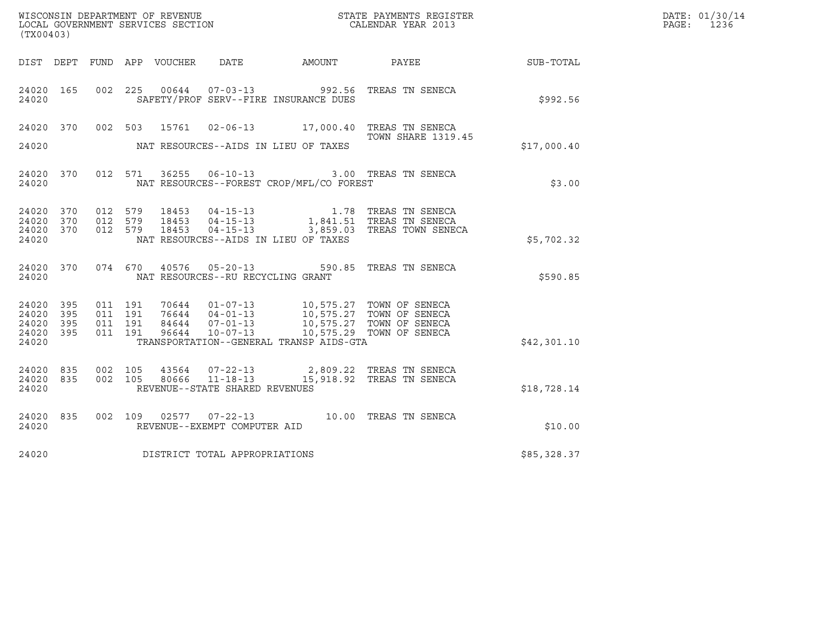| (TX00403)                                     |                   |                                          |         |       |                                                  |                                                                                                                                                                                                                                 | ${\tt WISCOONSIM\ DEPARTMENT\ OF\ REVENUE}\qquad \qquad {\tt STATE\ PAYMENTS\ REGISTER\ LOCAL\ GOVERNMENT\ SERVICES\ SECTION\qquad \qquad {\tt CALENDAR\ YEAR\ 2013}$ |             | DATE: 01/30/14<br>PAGE:<br>1236 |
|-----------------------------------------------|-------------------|------------------------------------------|---------|-------|--------------------------------------------------|---------------------------------------------------------------------------------------------------------------------------------------------------------------------------------------------------------------------------------|-----------------------------------------------------------------------------------------------------------------------------------------------------------------------|-------------|---------------------------------|
|                                               |                   |                                          |         |       |                                                  |                                                                                                                                                                                                                                 | DIST DEPT FUND APP VOUCHER DATE AMOUNT PAYEE                                                                                                                          | SUB-TOTAL   |                                 |
| 24020 165<br>24020                            |                   | 002 225                                  |         |       |                                                  | SAFETY/PROF SERV--FIRE INSURANCE DUES                                                                                                                                                                                           | 00644  07-03-13  992.56 TREAS TN SENECA                                                                                                                               | \$992.56    |                                 |
| 24020 370<br>24020                            |                   |                                          |         |       |                                                  | NAT RESOURCES--AIDS IN LIEU OF TAXES                                                                                                                                                                                            | 002 503 15761 02-06-13 17,000.40 TREAS TN SENECA<br>TOWN SHARE 1319.45                                                                                                | \$17,000.40 |                                 |
| 24020 370<br>24020                            |                   |                                          |         |       | 012 571 36255 06-10-13                           | NAT RESOURCES--FOREST CROP/MFL/CO FOREST                                                                                                                                                                                        | 3.00 TREAS TN SENECA                                                                                                                                                  | \$3.00      |                                 |
| 24020 370<br>24020<br>24020<br>24020          | 370<br>370        | 012 579<br>012 579                       | 012 579 |       |                                                  | NAT RESOURCES--AIDS IN LIEU OF TAXES                                                                                                                                                                                            |                                                                                                                                                                       | \$5,702.32  |                                 |
| 24020                                         | 24020 370         |                                          |         |       |                                                  | NAT RESOURCES--RU RECYCLING GRANT                                                                                                                                                                                               | 074 670 40576 05-20-13 590.85 TREAS TN SENECA                                                                                                                         | \$590.85    |                                 |
| 24020 395<br>24020<br>24020<br>24020<br>24020 | 395<br>395<br>395 | 011 191<br>011 191<br>011 191<br>011 191 |         |       |                                                  | 70644  01-07-13  10,575.27  TOWN OF SENECA<br>76644  04-01-13  10,575.27  TOWN OF SENECA<br>84644  07-01-13  10,575.27  TOWN OF SENECA<br>96644  10-07-13  10,575.29  TOWN OF SENECA<br>TRANSPORTATION--GENERAL TRANSP AIDS-GTA |                                                                                                                                                                       | \$42,301.10 |                                 |
| 24020 835<br>24020<br>24020                   | 835               | 002 105<br>002 105                       |         | 80666 | $11 - 18 - 13$<br>REVENUE--STATE SHARED REVENUES |                                                                                                                                                                                                                                 | 43564 07-22-13 2,809.22 TREAS TN SENECA<br>15,918.92 TREAS TN SENECA                                                                                                  | \$18,728.14 |                                 |
| 24020 835<br>24020                            |                   |                                          |         |       | REVENUE--EXEMPT COMPUTER AID                     |                                                                                                                                                                                                                                 | 002 109 02577 07-22-13 10.00 TREAS TN SENECA                                                                                                                          | \$10.00     |                                 |
| 24020                                         |                   |                                          |         |       | DISTRICT TOTAL APPROPRIATIONS                    |                                                                                                                                                                                                                                 |                                                                                                                                                                       | \$85,328.37 |                                 |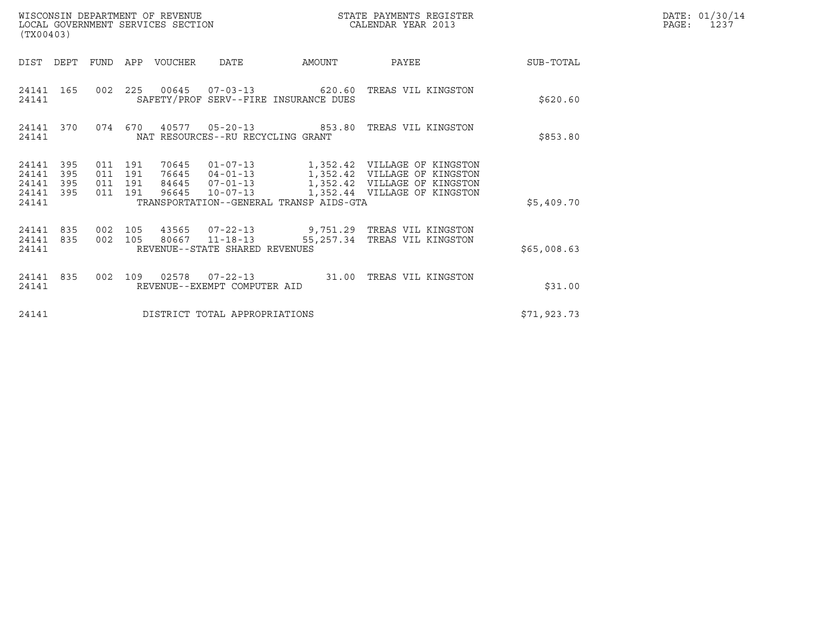| (TX00403)                                     |                   |                                          |         | WISCONSIN DEPARTMENT OF REVENUE<br>LOCAL GOVERNMENT SERVICES SECTION |                                                  |                                         | STATE PAYMENTS REGISTER<br>CALENDAR YEAR 2013                                                                                                           | DATE: 01/30/14<br>PAGE:<br>1237 |  |
|-----------------------------------------------|-------------------|------------------------------------------|---------|----------------------------------------------------------------------|--------------------------------------------------|-----------------------------------------|---------------------------------------------------------------------------------------------------------------------------------------------------------|---------------------------------|--|
| DIST                                          | DEPT              | FUND                                     | APP     | VOUCHER                                                              | <b>DATE</b>                                      | AMOUNT                                  | PAYEE                                                                                                                                                   | SUB-TOTAL                       |  |
| 24141 165<br>24141                            |                   | 002 225                                  |         |                                                                      |                                                  | SAFETY/PROF SERV--FIRE INSURANCE DUES   | 00645  07-03-13  620.60 TREAS VIL KINGSTON                                                                                                              | \$620.60                        |  |
| 24141 370<br>24141                            |                   |                                          | 074 670 | 40577                                                                | NAT RESOURCES--RU RECYCLING GRANT                |                                         | 05-20-13  853.80 TREAS VIL KINGSTON                                                                                                                     | \$853.80                        |  |
| 24141<br>24141<br>24141<br>24141 395<br>24141 | 395<br>395<br>395 | 011 191<br>011 191<br>011 191<br>011 191 |         | 70645                                                                | 84645 07-01-13<br>96645 10-07-13                 | TRANSPORTATION--GENERAL TRANSP AIDS-GTA | 01-07-13 1,352.42 VILLAGE OF KINGSTON<br>76645  04-01-13  1,352.42  VILLAGE OF KINGSTON<br>1,352.42 VILLAGE OF KINGSTON<br>1,352.44 VILLAGE OF KINGSTON | \$5,409.70                      |  |
| 24141 835<br>24141 835<br>24141               |                   | 002<br>002 105                           | 105     | 43565                                                                | 80667 11-18-13<br>REVENUE--STATE SHARED REVENUES |                                         | 07-22-13 9,751.29 TREAS VIL KINGSTON<br>55,257.34 TREAS VIL KINGSTON                                                                                    | \$65,008.63                     |  |
| 24141 835<br>24141                            |                   | 002                                      | 109     | 02578                                                                | REVENUE--EXEMPT COMPUTER AID                     |                                         | 07-22-13 31.00 TREAS VIL KINGSTON                                                                                                                       | \$31.00                         |  |
| 24141                                         |                   |                                          |         |                                                                      | DISTRICT TOTAL APPROPRIATIONS                    |                                         |                                                                                                                                                         | \$71,923.73                     |  |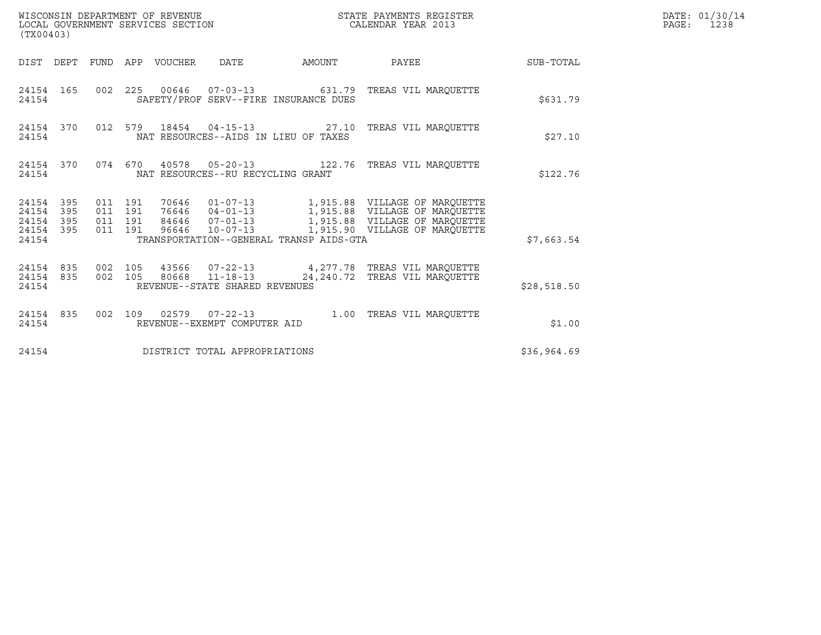| (TX00403)                                                 |                                          |  | WISCONSIN DEPARTMENT OF REVENUE<br>LOCAL GOVERNMENT SERVICES SECTION |                                         | STATE PAYMENTS REGISTER<br>CALENDAR YEAR 2013                                                    |             | DATE: 01/30/14<br>PAGE: 1238 |
|-----------------------------------------------------------|------------------------------------------|--|----------------------------------------------------------------------|-----------------------------------------|--------------------------------------------------------------------------------------------------|-------------|------------------------------|
|                                                           |                                          |  |                                                                      |                                         | DIST DEPT FUND APP VOUCHER DATE AMOUNT PAYEE SUB-TOTAL                                           |             |                              |
| 24154 165<br>24154                                        |                                          |  |                                                                      | SAFETY/PROF SERV--FIRE INSURANCE DUES   | 002  225  00646  07-03-13  631.79  TREAS VIL MAROUETTE                                           | \$631.79    |                              |
| 24154 370<br>24154                                        |                                          |  |                                                                      | NAT RESOURCES--AIDS IN LIEU OF TAXES    | 012 579 18454 04-15-13 27.10 TREAS VIL MARQUETTE                                                 | \$27.10     |                              |
| 24154 370<br>24154                                        |                                          |  | NAT RESOURCES--RU RECYCLING GRANT                                    |                                         | 074 670 40578 05-20-13 122.76 TREAS VIL MARQUETTE                                                | \$122.76    |                              |
| 24154 395<br>24154 395<br>24154 395<br>24154 395<br>24154 | 011 191<br>011 191<br>011 191<br>011 191 |  |                                                                      | TRANSPORTATION--GENERAL TRANSP AIDS-GTA | 84646  07-01-13  1,915.88 VILLAGE OF MARQUETTE<br>96646  10-07-13  1,915.90 VILLAGE OF MARQUETTE | \$7,663.54  |                              |
| 24154 835<br>24154 835<br>24154                           | 002 105                                  |  | 002 105 80668 11-18-13<br>REVENUE--STATE SHARED REVENUES             |                                         | 43566  07-22-13  4,277.78  TREAS VIL MARQUETTE<br>24, 240.72 TREAS VIL MARQUETTE                 | \$28,518.50 |                              |
| 24154 835<br>24154                                        |                                          |  | REVENUE--EXEMPT COMPUTER AID                                         |                                         | 002 109 02579 07-22-13 1.00 TREAS VIL MARQUETTE                                                  | \$1.00      |                              |
| 24154                                                     |                                          |  | DISTRICT TOTAL APPROPRIATIONS                                        |                                         |                                                                                                  | \$36,964.69 |                              |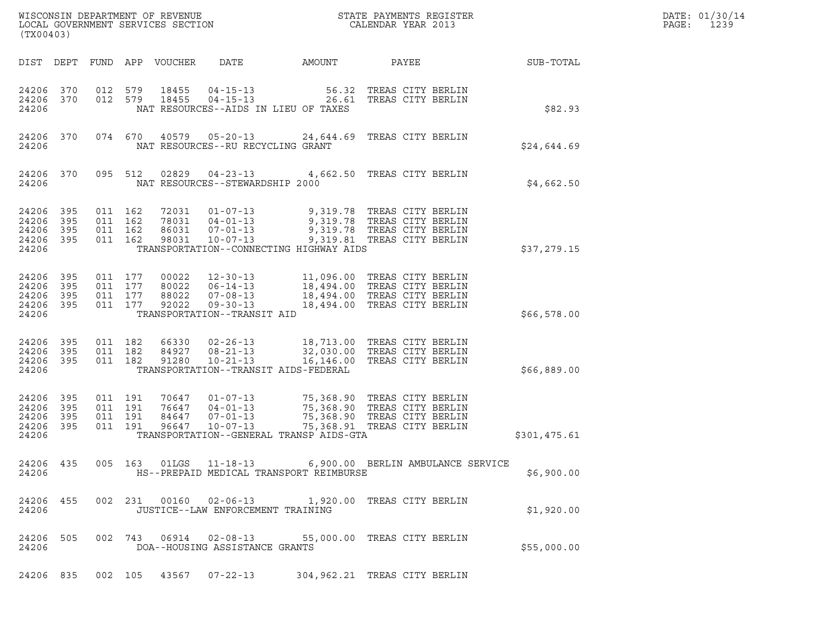| STATE PAYMENTS REGISTER | DATE: 01/30/14<br>1239      |
|-------------------------|-----------------------------|
|                         | CALENDAR YEAR 2013<br>PAGE: |

| (TX00403)                                             |                        |                               |                    |                        |                                   | WISCONSIN DEPARTMENT OF REVENUE<br>LOCAL GOVERNMENT SERVICES SECTION THE STATE PAYMENTS REGISTER<br>(TWARAGO)                                                                                                                           |  |              | DATE: 01/30/14<br>PAGE: 1239 |
|-------------------------------------------------------|------------------------|-------------------------------|--------------------|------------------------|-----------------------------------|-----------------------------------------------------------------------------------------------------------------------------------------------------------------------------------------------------------------------------------------|--|--------------|------------------------------|
| DIST DEPT                                             |                        |                               |                    |                        |                                   |                                                                                                                                                                                                                                         |  |              |                              |
| 24206                                                 | 24206 370<br>24206 370 | 012 579                       |                    | 18455<br>012 579 18455 |                                   | 04-15-13 56.32 TREAS CITY BERLIN<br>04-15-13 26.61 TREAS CITY BERLIN<br>NAT RESOURCES--AIDS IN LIEU OF TAXES                                                                                                                            |  | \$82.93      |                              |
| 24206                                                 | 24206 370              |                               |                    |                        | NAT RESOURCES--RU RECYCLING GRANT | 074 670 40579 05-20-13 24,644.69 TREAS CITY BERLIN                                                                                                                                                                                      |  | \$24,644.69  |                              |
| 24206                                                 |                        |                               |                    |                        | NAT RESOURCES--STEWARDSHIP 2000   | 24206 370 095 512 02829 04-23-13 4,662.50 TREAS CITY BERLIN                                                                                                                                                                             |  | \$4,662.50   |                              |
| 24206 395<br>24206<br>24206 395<br>24206 395<br>24206 | 395                    | 011 162<br>011 162<br>011 162 | 011 162            |                        |                                   | 72031  01-07-13  9,319.78  TREAS CITY BERLIN<br>78031  04-01-13  9,319.78  TREAS CITY BERLIN<br>86031  07-01-13  9,319.78  TREAS CITY BERLIN<br>98031  10-07-13  9,319.81  TREAS CITY BERLIN<br>TRANSPORTATION--CONNECTING HIGHWAY AIDS |  | \$37,279.15  |                              |
| 24206 395<br>24206 395<br>24206 395<br>24206          | 24206 395              |                               |                    |                        | TRANSPORTATION--TRANSIT AID       | 011 177 00022 12-30-13 11,096.00 TREAS CITY BERLIN<br>011 177 80022 06-14-13 18,494.00 TREAS CITY BERLIN<br>011 177 92022 09-30-13 18,494.00 TREAS CITY BERLIN<br>011 177 92022 09-30-13 18,494.00 TREAS CITY BERLIN                    |  | \$66,578.00  |                              |
| 24206 395<br>24206 395<br>24206 395<br>24206          |                        | 011 182<br>011 182            | 011 182            |                        |                                   | 66330 02-26-13 18,713.00 TREAS CITY BERLIN<br>84927 08-21-13 32,030.00 TREAS CITY BERLIN<br>91280 10-21-13 16,146.00 TREAS CITY BERLIN<br>TRANSPORTATION--TRANSIT AIDS-FEDERAL                                                          |  | \$66,889.00  |                              |
| 24206 395<br>24206<br>24206 395<br>24206 395<br>24206 | 395                    | 011 191<br>011 191            | 011 191<br>011 191 |                        |                                   | 70647  01-07-13  75,368.90 TREAS CITY BERLIN<br>76647  04-01-13  75,368.90 TREAS CITY BERLIN<br>84647  07-01-13  75,368.90 TREAS CITY BERLIN<br>96647  10-07-13  75,368.91 TREAS CITY BERLIN<br>TRANSPORTATION--GENERAL TRANSP AIDS-GTA |  | \$301,475.61 |                              |
| 24206                                                 |                        |                               |                    |                        |                                   | 24206 435 005 163 01LGS 11-18-13 6,900.00 BERLIN AMBULANCE SERVICE<br>HS--PREPAID MEDICAL TRANSPORT REIMBURSE                                                                                                                           |  | \$6,900.00   |                              |
| 24206 455<br>24206                                    |                        |                               |                    |                        | JUSTICE--LAW ENFORCEMENT TRAINING | 002 231 00160 02-06-13 1,920.00 TREAS CITY BERLIN                                                                                                                                                                                       |  | \$1,920.00   |                              |
| 24206 505<br>24206                                    |                        |                               |                    |                        | DOA--HOUSING ASSISTANCE GRANTS    | 002 743 06914 02-08-13 55,000.00 TREAS CITY BERLIN                                                                                                                                                                                      |  | \$55,000.00  |                              |
|                                                       |                        |                               |                    |                        | 24206 835 002 105 43567 07-22-13  | 304,962.21 TREAS CITY BERLIN                                                                                                                                                                                                            |  |              |                              |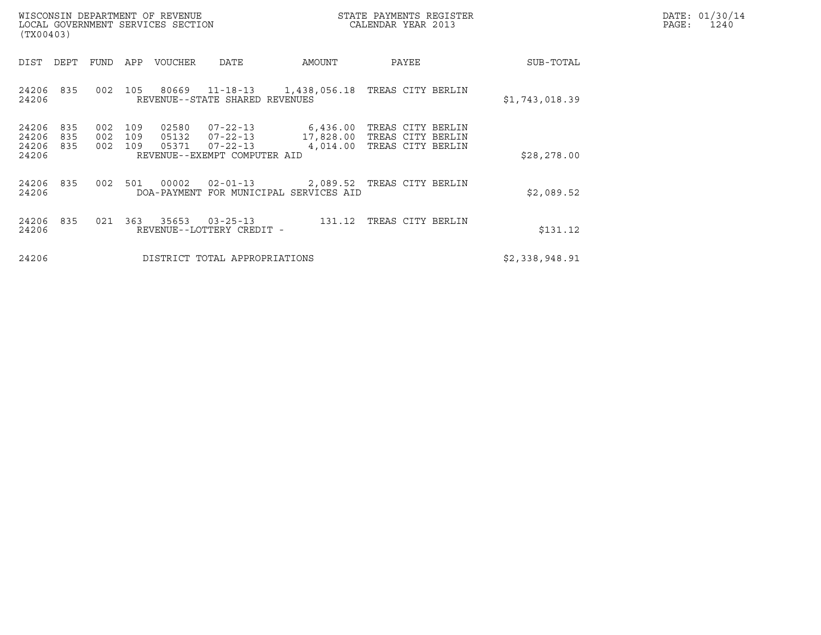| WISCONSIN DEPARTMENT OF REVENUE<br>LOCAL GOVERNMENT SERVICES SECTION | STATE PAYMENTS REGISTER<br>CALENDAR YEAR 2013 | DATE: 01/30/14<br>PAGE:<br>1240 |
|----------------------------------------------------------------------|-----------------------------------------------|---------------------------------|

| WISCONSIN DEPARTMENT OF REVENUE<br>LOCAL GOVERNMENT SERVICES SECTION<br>(TX00403) |                   |                   |                         |                                                                                    |                                                                      | STATE PAYMENTS REGISTER<br>CALENDAR YEAR 2013               |                | DATE: 01/30/14<br>PAGE:<br>1240 |
|-----------------------------------------------------------------------------------|-------------------|-------------------|-------------------------|------------------------------------------------------------------------------------|----------------------------------------------------------------------|-------------------------------------------------------------|----------------|---------------------------------|
| DIST<br>DEPT                                                                      | FUND              | APP               | VOUCHER                 | DATE                                                                               | AMOUNT                                                               | PAYEE                                                       | SUB-TOTAL      |                                 |
| 24206<br>835<br>24206                                                             | 002               | 105               |                         | REVENUE--STATE SHARED REVENUES                                                     | 80669  11-18-13  1,438,056.18                                        | TREAS CITY BERLIN                                           | \$1,743,018.39 |                                 |
| 24206<br>835<br>24206<br>835<br>24206<br>835<br>24206                             | 002<br>002<br>002 | 109<br>109<br>109 | 02580<br>05132<br>05371 | $07 - 22 - 13$<br>$07 - 22 - 13$<br>$07 - 22 - 13$<br>REVENUE--EXEMPT COMPUTER AID | 6,436.00<br>17,828.00<br>4,014.00                                    | TREAS CITY BERLIN<br>TREAS CITY BERLIN<br>TREAS CITY BERLIN | \$28, 278.00   |                                 |
| 24206<br>835<br>24206                                                             | 002               |                   | 501 00002               | $02 - 01 - 13$                                                                     | 2,089.52 TREAS CITY BERLIN<br>DOA-PAYMENT FOR MUNICIPAL SERVICES AID |                                                             | \$2,089.52     |                                 |
| 24206<br>835<br>24206                                                             | 021               |                   | 363 35653               | $03 - 25 - 13$<br>REVENUE--LOTTERY CREDIT -                                        | 131.12                                                               | TREAS CITY BERLIN                                           | \$131.12       |                                 |
| 24206                                                                             |                   |                   |                         | DISTRICT TOTAL APPROPRIATIONS                                                      |                                                                      |                                                             | \$2,338,948.91 |                                 |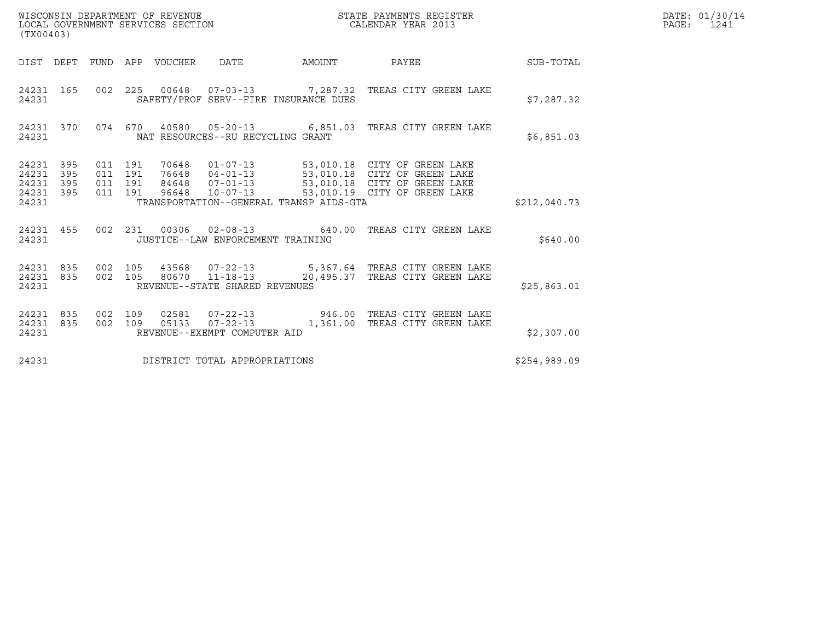| (TX00403)                                                             |                                          |       | WISCONSIN DEPARTMENT OF REVENUE<br>LOCAL GOVERNMENT SERVICES SECTION |              | STATE PAYMENTS REGISTER<br>CALENDAR YEAR 2013                                                                                                                                                        |              | DATE: 01/30/14<br>PAGE: 1241 |
|-----------------------------------------------------------------------|------------------------------------------|-------|----------------------------------------------------------------------|--------------|------------------------------------------------------------------------------------------------------------------------------------------------------------------------------------------------------|--------------|------------------------------|
| DIST DEPT FUND APP VOUCHER                                            |                                          |       | DATE                                                                 | AMOUNT PAYEE |                                                                                                                                                                                                      | SUB-TOTAL    |                              |
| 24231 165<br>24231                                                    |                                          |       | SAFETY/PROF SERV--FIRE INSURANCE DUES                                |              | 002  225  00648  07-03-13  7,287.32  TREAS CITY GREEN LAKE                                                                                                                                           | \$7,287.32   |                              |
| 24231 370<br>24231                                                    |                                          |       | NAT RESOURCES--RU RECYCLING GRANT                                    |              | 074  670  40580  05-20-13   6,851.03  TREAS CITY GREEN LAKE                                                                                                                                          | \$6,851.03   |                              |
| 24231<br>395<br>395<br>24231<br>24231<br>395<br>395<br>24231<br>24231 | 011 191<br>011 191<br>011 191<br>011 191 |       | TRANSPORTATION--GENERAL TRANSP AIDS-GTA                              |              | 70648  01-07-13  53,010.18  CITY OF GREEN LAKE<br>76648  04-01-13  53,010.18  CITY OF GREEN LAKE<br>84648  07-01-13  53,010.18  CITY OF GREEN LAKE<br>96648  10-07-13  53,010.19  CITY OF GREEN LAKE | \$212,040.73 |                              |
| 24231 455<br>24231                                                    |                                          |       | JUSTICE--LAW ENFORCEMENT TRAINING                                    |              | 002 231 00306 02-08-13 640.00 TREAS CITY GREEN LAKE                                                                                                                                                  | \$640.00     |                              |
| 24231 835<br>24231 835<br>24231                                       | 002 105<br>002 105                       |       | REVENUE--STATE SHARED REVENUES                                       |              | 43568  07-22-13   5,367.64   TREAS CITY GREEN LAKE<br>80670  11-18-13  20,495.37  TREAS CITY GREEN LAKE                                                                                              | \$25,863.01  |                              |
| 24231 835<br>24231<br>835<br>24231                                    | 002 109<br>002 109                       | 05133 | REVENUE--EXEMPT COMPUTER AID                                         |              | 02581  07-22-13  946.00 TREAS CITY GREEN LAKE<br>07-22-13 1,361.00 TREAS CITY GREEN LAKE                                                                                                             | \$2,307.00   |                              |
| 24231                                                                 |                                          |       | DISTRICT TOTAL APPROPRIATIONS                                        |              |                                                                                                                                                                                                      | \$254,989.09 |                              |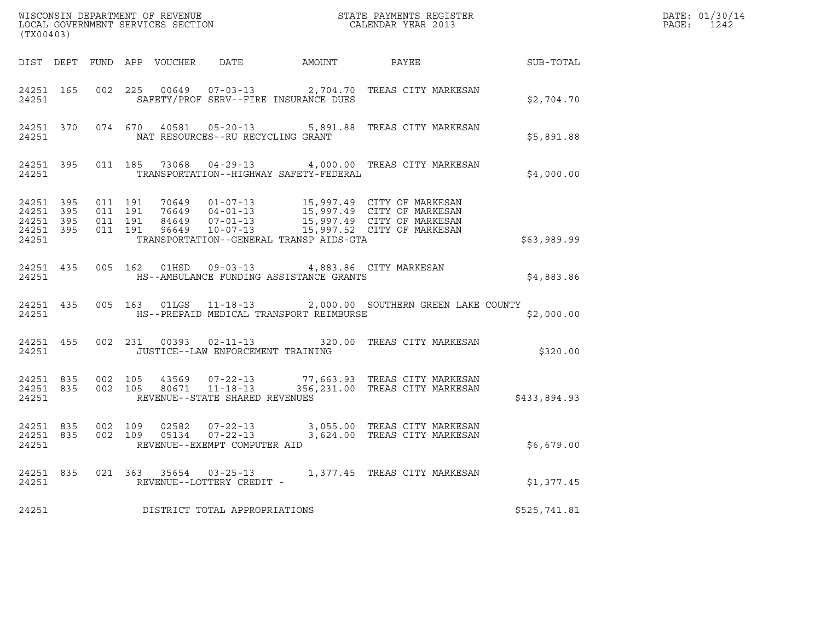| (TX00403) |       |  |                                         |                                                         |                                                                                                                                                                                                                                                                                                                                      | $R = \frac{1}{2}$ | DATE: 01/30/14<br>PAGE: 1242 |
|-----------|-------|--|-----------------------------------------|---------------------------------------------------------|--------------------------------------------------------------------------------------------------------------------------------------------------------------------------------------------------------------------------------------------------------------------------------------------------------------------------------------|-------------------|------------------------------|
|           |       |  |                                         |                                                         | DIST DEPT FUND APP VOUCHER DATE AMOUNT PAYEE SUB-TOTAL                                                                                                                                                                                                                                                                               |                   |                              |
|           |       |  |                                         |                                                         | 24251 165 002 225 00649 07-03-13 2,704.70 TREAS CITY MARKESAN                                                                                                                                                                                                                                                                        | \$2,704.70        |                              |
|           |       |  | 24251 MAT RESOURCES--RU RECYCLING GRANT |                                                         | 24251 370 074 670 40581 05-20-13 5,891.88 TREAS CITY MARKESAN                                                                                                                                                                                                                                                                        | \$5,891.88        |                              |
| 24251     |       |  |                                         | TRANSPORTATION--HIGHWAY SAFETY-FEDERAL                  | 24251 395 011 185 73068 04-29-13 4,000.00 TREAS CITY MARKESAN                                                                                                                                                                                                                                                                        | \$4,000.00        |                              |
| 24251     |       |  |                                         | TRANSPORTATION--GENERAL TRANSP AIDS-GTA                 | $\begin{array}{cccccccc} 24251 & 395 & 011 & 191 & 70649 & 01\mbox{-}07\mbox{-}13 & 15\,997.49 & \text{CITY OF MARKESAN} \\ 24251 & 395 & 011 & 191 & 76649 & 04\mbox{-}01\mbox{-}13 & 15\,997.49 & \text{CITY OF MARKESAN} \\ 24251 & 395 & 011 & 191 & 84649 & 07\mbox{-}01\mbox{-}13 & 15\,997.49 & \text{CITY OF MARKESAN} \\ 2$ | \$63,989.99       |                              |
| 24251     |       |  |                                         | 24251 435 005 162 01HSD 09-03-13 4,883.86 CITY MARKESAN | HS--AMBULANCE FUNDING ASSISTANCE GRANTS                                                                                                                                                                                                                                                                                              | \$4,883.86        |                              |
|           |       |  |                                         | 24251 HS--PREPAID MEDICAL TRANSPORT REIMBURSE           | 24251 435 005 163 01LGS 11-18-13 2,000.00 SOUTHERN GREEN LAKE COUNTY                                                                                                                                                                                                                                                                 | \$2,000.00        |                              |
|           |       |  | 24251 JUSTICE--LAW ENFORCEMENT TRAINING |                                                         | 24251 455 002 231 00393 02-11-13 320.00 TREAS CITY MARKESAN                                                                                                                                                                                                                                                                          | \$320.00          |                              |
|           |       |  | 24251 REVENUE--STATE SHARED REVENUES    |                                                         | $\begin{array}{cccccccc} 24251 & 835 & 002 & 105 & 43569 & 07-22-13 & & & 77,663.93 & \text{TREAS CITY MARKESAN} \\ 24251 & 835 & 002 & 105 & 80671 & 11-18-13 & & & 356,231.00 & \text{TREAS CITY MARKESAN} \end{array}$                                                                                                            | \$433,894.93      |                              |
|           |       |  | 24251 REVENUE--EXEMPT COMPUTER AID      |                                                         | 24251 835 002 109 02582 07-22-13 3,055.00 TREAS CITY MARKESAN<br>24251 835 002 109 05134 07-22-13 3,624.00 TREAS CITY MARKESAN                                                                                                                                                                                                       | \$6,679.00        |                              |
|           | 24251 |  | REVENUE--LOTTERY CREDIT -               |                                                         | 24251 835 021 363 35654 03-25-13 1,377.45 TREAS CITY MARKESAN                                                                                                                                                                                                                                                                        | \$1,377.45        |                              |
| 24251     |       |  | DISTRICT TOTAL APPROPRIATIONS           |                                                         |                                                                                                                                                                                                                                                                                                                                      | \$525,741.81      |                              |